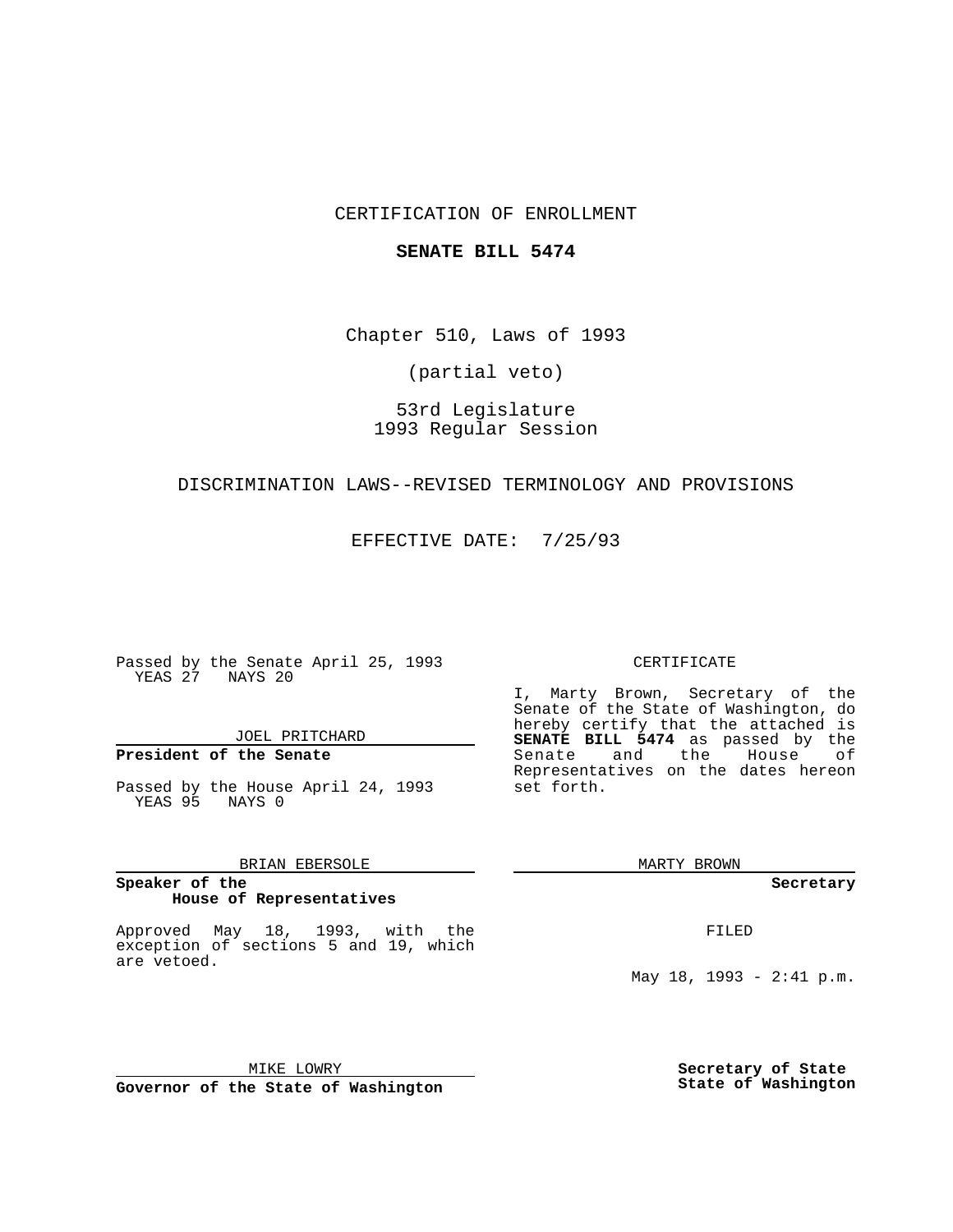### CERTIFICATION OF ENROLLMENT

#### **SENATE BILL 5474**

Chapter 510, Laws of 1993

(partial veto)

# 53rd Legislature 1993 Regular Session

#### DISCRIMINATION LAWS--REVISED TERMINOLOGY AND PROVISIONS

EFFECTIVE DATE: 7/25/93

Passed by the Senate April 25, 1993 YEAS 27 NAYS 20

### JOEL PRITCHARD

# **President of the Senate**

Passed by the House April 24, 1993 YEAS 95 NAYS 0

### BRIAN EBERSOLE

#### **Speaker of the House of Representatives**

Approved May 18, 1993, with the exception of sections 5 and 19, which are vetoed.

#### CERTIFICATE

I, Marty Brown, Secretary of the Senate of the State of Washington, do hereby certify that the attached is **SENATE BILL 5474** as passed by the Senate and the House of Representatives on the dates hereon set forth.

MARTY BROWN

**Secretary**

FILED

May 18, 1993 - 2:41 p.m.

MIKE LOWRY **Governor of the State of Washington** **Secretary of State State of Washington**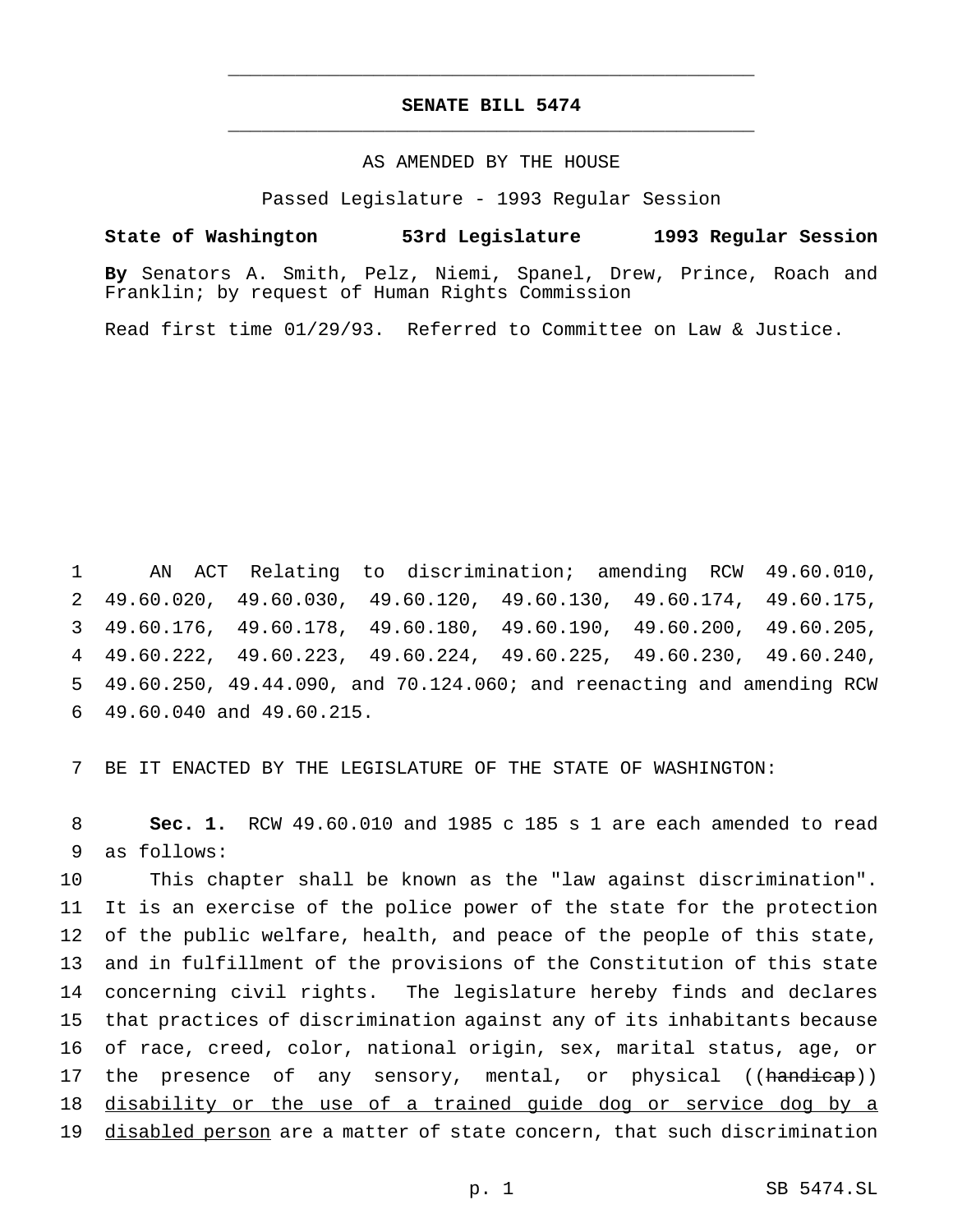## **SENATE BILL 5474** \_\_\_\_\_\_\_\_\_\_\_\_\_\_\_\_\_\_\_\_\_\_\_\_\_\_\_\_\_\_\_\_\_\_\_\_\_\_\_\_\_\_\_\_\_\_\_

\_\_\_\_\_\_\_\_\_\_\_\_\_\_\_\_\_\_\_\_\_\_\_\_\_\_\_\_\_\_\_\_\_\_\_\_\_\_\_\_\_\_\_\_\_\_\_

### AS AMENDED BY THE HOUSE

Passed Legislature - 1993 Regular Session

**State of Washington 53rd Legislature 1993 Regular Session**

**By** Senators A. Smith, Pelz, Niemi, Spanel, Drew, Prince, Roach and Franklin; by request of Human Rights Commission

Read first time 01/29/93. Referred to Committee on Law & Justice.

 AN ACT Relating to discrimination; amending RCW 49.60.010, 49.60.020, 49.60.030, 49.60.120, 49.60.130, 49.60.174, 49.60.175, 49.60.176, 49.60.178, 49.60.180, 49.60.190, 49.60.200, 49.60.205, 49.60.222, 49.60.223, 49.60.224, 49.60.225, 49.60.230, 49.60.240, 49.60.250, 49.44.090, and 70.124.060; and reenacting and amending RCW 49.60.040 and 49.60.215.

7 BE IT ENACTED BY THE LEGISLATURE OF THE STATE OF WASHINGTON:

8 **Sec. 1.** RCW 49.60.010 and 1985 c 185 s 1 are each amended to read 9 as follows:

 This chapter shall be known as the "law against discrimination". It is an exercise of the police power of the state for the protection of the public welfare, health, and peace of the people of this state, and in fulfillment of the provisions of the Constitution of this state concerning civil rights. The legislature hereby finds and declares that practices of discrimination against any of its inhabitants because of race, creed, color, national origin, sex, marital status, age, or 17 the presence of any sensory, mental, or physical ((handicap)) disability or the use of a trained guide dog or service dog by a 19 disabled person are a matter of state concern, that such discrimination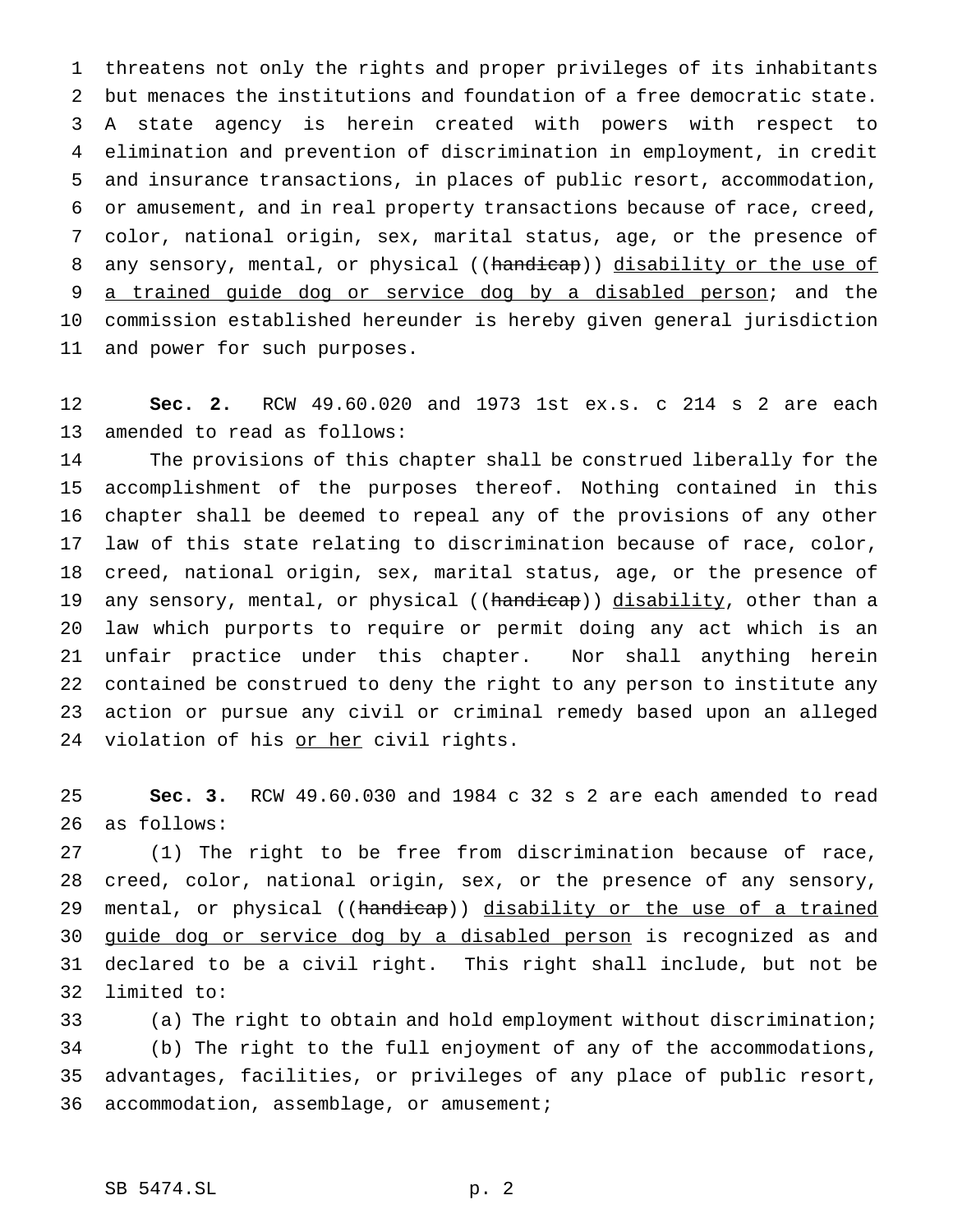threatens not only the rights and proper privileges of its inhabitants but menaces the institutions and foundation of a free democratic state. A state agency is herein created with powers with respect to elimination and prevention of discrimination in employment, in credit and insurance transactions, in places of public resort, accommodation, or amusement, and in real property transactions because of race, creed, color, national origin, sex, marital status, age, or the presence of 8 any sensory, mental, or physical ((handicap)) disability or the use of 9 a trained guide dog or service dog by a disabled person; and the commission established hereunder is hereby given general jurisdiction and power for such purposes.

 **Sec. 2.** RCW 49.60.020 and 1973 1st ex.s. c 214 s 2 are each amended to read as follows:

 The provisions of this chapter shall be construed liberally for the accomplishment of the purposes thereof. Nothing contained in this chapter shall be deemed to repeal any of the provisions of any other law of this state relating to discrimination because of race, color, creed, national origin, sex, marital status, age, or the presence of 19 any sensory, mental, or physical ((handicap)) disability, other than a law which purports to require or permit doing any act which is an unfair practice under this chapter. Nor shall anything herein contained be construed to deny the right to any person to institute any action or pursue any civil or criminal remedy based upon an alleged 24 violation of his or her civil rights.

 **Sec. 3.** RCW 49.60.030 and 1984 c 32 s 2 are each amended to read as follows:

 (1) The right to be free from discrimination because of race, creed, color, national origin, sex, or the presence of any sensory, 29 mental, or physical ((handicap)) disability or the use of a trained 30 guide dog or service dog by a disabled person is recognized as and declared to be a civil right. This right shall include, but not be limited to:

 (a) The right to obtain and hold employment without discrimination; (b) The right to the full enjoyment of any of the accommodations, advantages, facilities, or privileges of any place of public resort, accommodation, assemblage, or amusement;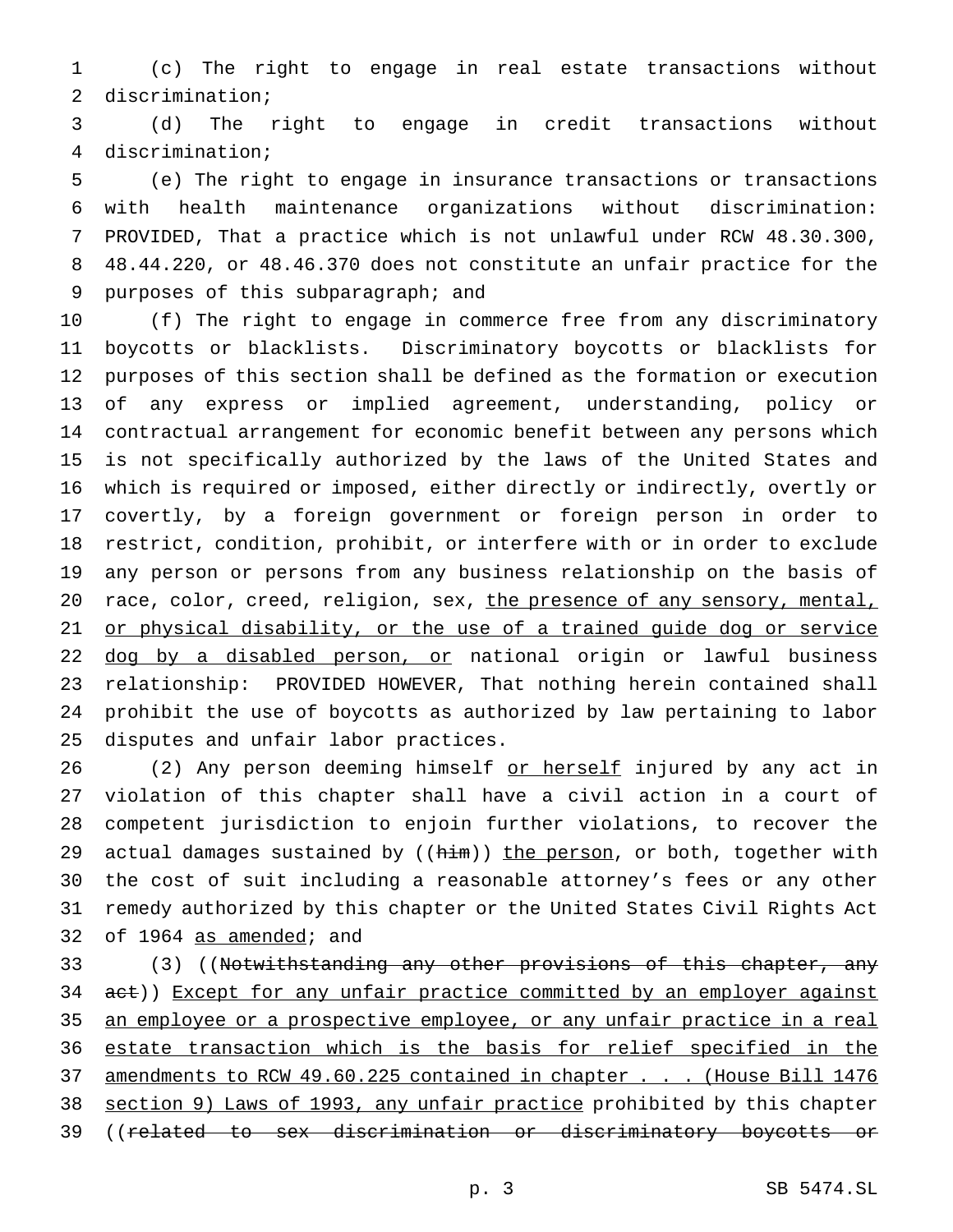(c) The right to engage in real estate transactions without discrimination;

 (d) The right to engage in credit transactions without discrimination;

 (e) The right to engage in insurance transactions or transactions with health maintenance organizations without discrimination: PROVIDED, That a practice which is not unlawful under RCW 48.30.300, 48.44.220, or 48.46.370 does not constitute an unfair practice for the purposes of this subparagraph; and

 (f) The right to engage in commerce free from any discriminatory boycotts or blacklists. Discriminatory boycotts or blacklists for purposes of this section shall be defined as the formation or execution of any express or implied agreement, understanding, policy or contractual arrangement for economic benefit between any persons which is not specifically authorized by the laws of the United States and which is required or imposed, either directly or indirectly, overtly or covertly, by a foreign government or foreign person in order to restrict, condition, prohibit, or interfere with or in order to exclude any person or persons from any business relationship on the basis of 20 race, color, creed, religion, sex, the presence of any sensory, mental, 21 or physical disability, or the use of a trained guide dog or service 22 dog by a disabled person, or national origin or lawful business relationship: PROVIDED HOWEVER, That nothing herein contained shall prohibit the use of boycotts as authorized by law pertaining to labor disputes and unfair labor practices.

26 (2) Any person deeming himself or herself injured by any act in violation of this chapter shall have a civil action in a court of competent jurisdiction to enjoin further violations, to recover the 29 actual damages sustained by ((him)) the person, or both, together with the cost of suit including a reasonable attorney's fees or any other remedy authorized by this chapter or the United States Civil Rights Act of 1964 as amended; and

33 (3) ((Notwithstanding any other provisions of this chapter, any 34 act)) Except for any unfair practice committed by an employer against 35 an employee or a prospective employee, or any unfair practice in a real estate transaction which is the basis for relief specified in the 37 amendments to RCW 49.60.225 contained in chapter . . . (House Bill 1476 section 9) Laws of 1993, any unfair practice prohibited by this chapter ((related to sex discrimination or discriminatory boycotts or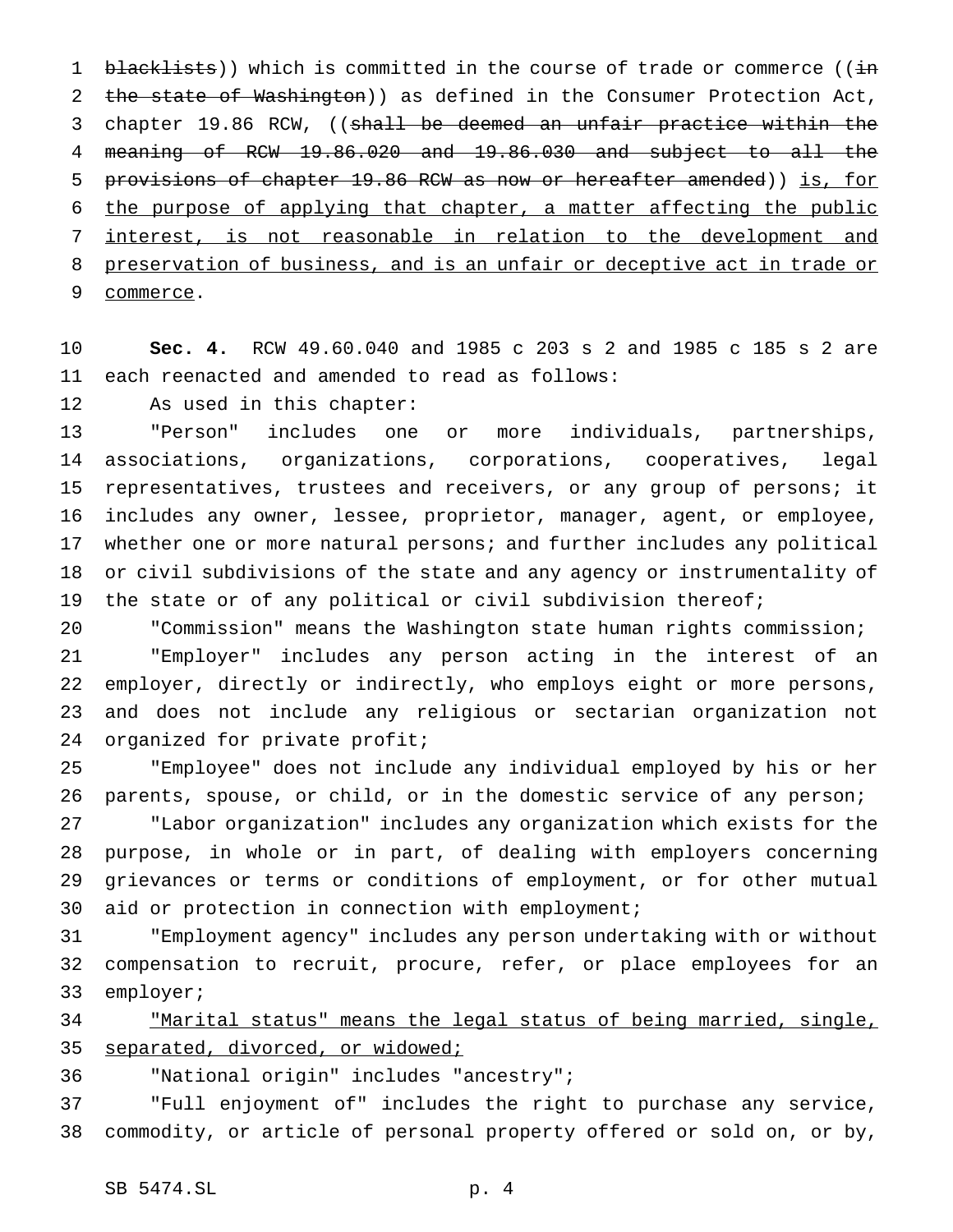1 blacklists)) which is committed in the course of trade or commerce (( $\frac{1}{1}$ ) 2 the state of Washington)) as defined in the Consumer Protection Act, 3 chapter 19.86 RCW, ((shall be deemed an unfair practice within the meaning of RCW 19.86.020 and 19.86.030 and subject to all the 5 provisions of chapter 19.86 RCW as now or hereafter amended)) is, for the purpose of applying that chapter, a matter affecting the public interest, is not reasonable in relation to the development and preservation of business, and is an unfair or deceptive act in trade or commerce.

 **Sec. 4.** RCW 49.60.040 and 1985 c 203 s 2 and 1985 c 185 s 2 are each reenacted and amended to read as follows:

As used in this chapter:

 "Person" includes one or more individuals, partnerships, associations, organizations, corporations, cooperatives, legal representatives, trustees and receivers, or any group of persons; it includes any owner, lessee, proprietor, manager, agent, or employee, whether one or more natural persons; and further includes any political or civil subdivisions of the state and any agency or instrumentality of the state or of any political or civil subdivision thereof;

 "Commission" means the Washington state human rights commission; "Employer" includes any person acting in the interest of an employer, directly or indirectly, who employs eight or more persons, and does not include any religious or sectarian organization not organized for private profit;

 "Employee" does not include any individual employed by his or her parents, spouse, or child, or in the domestic service of any person;

 "Labor organization" includes any organization which exists for the purpose, in whole or in part, of dealing with employers concerning grievances or terms or conditions of employment, or for other mutual aid or protection in connection with employment;

 "Employment agency" includes any person undertaking with or without compensation to recruit, procure, refer, or place employees for an employer;

 "Marital status" means the legal status of being married, single, separated, divorced, or widowed;

"National origin" includes "ancestry";

 "Full enjoyment of" includes the right to purchase any service, commodity, or article of personal property offered or sold on, or by,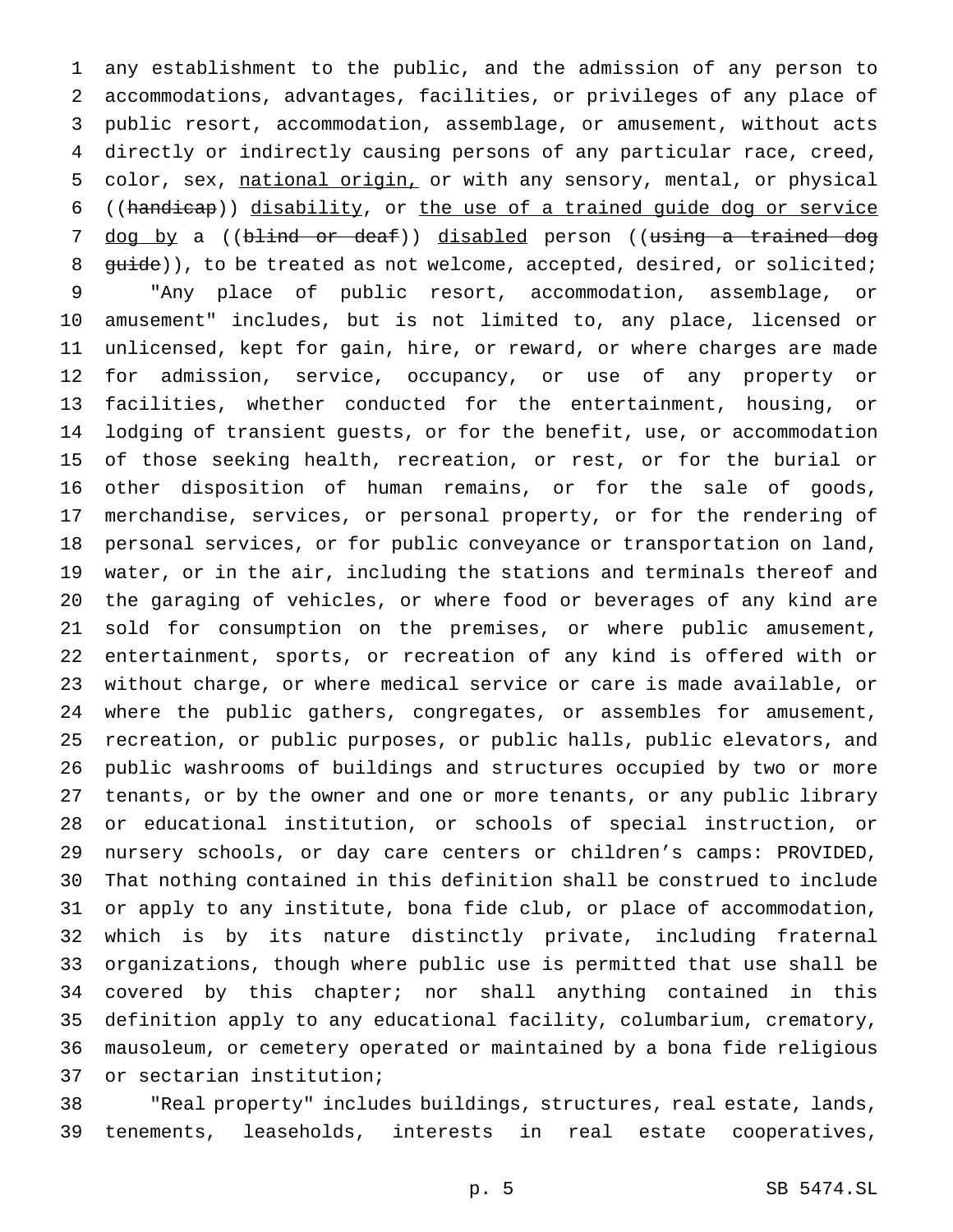any establishment to the public, and the admission of any person to accommodations, advantages, facilities, or privileges of any place of public resort, accommodation, assemblage, or amusement, without acts directly or indirectly causing persons of any particular race, creed, 5 color, sex, national origin, or with any sensory, mental, or physical ((handicap)) disability, or the use of a trained guide dog or service 7 dog by a ((blind or deaf)) disabled person ((using a trained dog 8 guide)), to be treated as not welcome, accepted, desired, or solicited; "Any place of public resort, accommodation, assemblage, or amusement" includes, but is not limited to, any place, licensed or unlicensed, kept for gain, hire, or reward, or where charges are made for admission, service, occupancy, or use of any property or facilities, whether conducted for the entertainment, housing, or lodging of transient guests, or for the benefit, use, or accommodation of those seeking health, recreation, or rest, or for the burial or other disposition of human remains, or for the sale of goods, merchandise, services, or personal property, or for the rendering of personal services, or for public conveyance or transportation on land, water, or in the air, including the stations and terminals thereof and the garaging of vehicles, or where food or beverages of any kind are sold for consumption on the premises, or where public amusement, entertainment, sports, or recreation of any kind is offered with or without charge, or where medical service or care is made available, or where the public gathers, congregates, or assembles for amusement, recreation, or public purposes, or public halls, public elevators, and public washrooms of buildings and structures occupied by two or more tenants, or by the owner and one or more tenants, or any public library or educational institution, or schools of special instruction, or nursery schools, or day care centers or children's camps: PROVIDED, That nothing contained in this definition shall be construed to include or apply to any institute, bona fide club, or place of accommodation, which is by its nature distinctly private, including fraternal organizations, though where public use is permitted that use shall be covered by this chapter; nor shall anything contained in this definition apply to any educational facility, columbarium, crematory, mausoleum, or cemetery operated or maintained by a bona fide religious or sectarian institution;

 "Real property" includes buildings, structures, real estate, lands, tenements, leaseholds, interests in real estate cooperatives,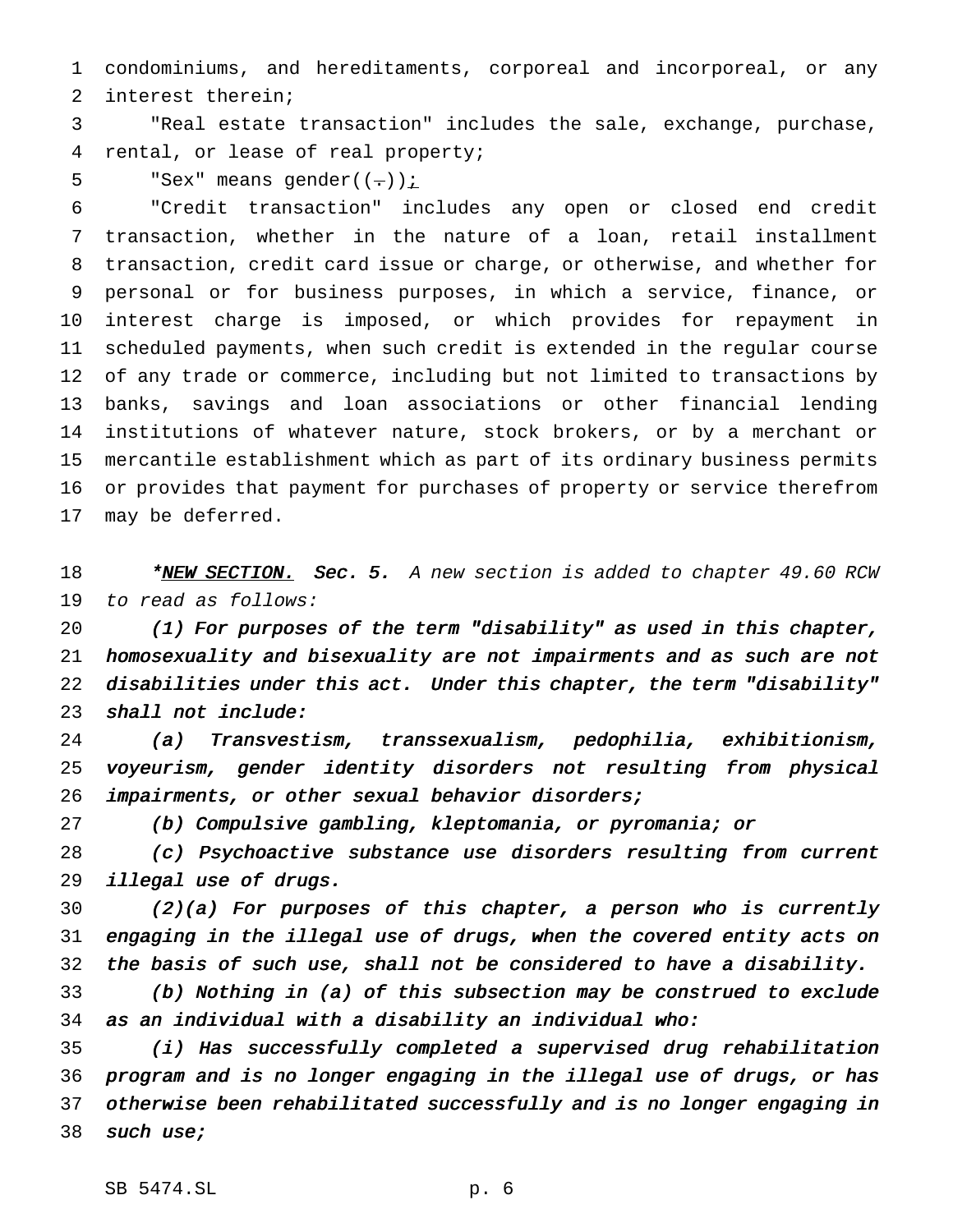condominiums, and hereditaments, corporeal and incorporeal, or any interest therein;

 "Real estate transaction" includes the sale, exchange, purchase, rental, or lease of real property;

5 "Sex" means gender( $(-)$ ):

 "Credit transaction" includes any open or closed end credit transaction, whether in the nature of a loan, retail installment transaction, credit card issue or charge, or otherwise, and whether for personal or for business purposes, in which a service, finance, or interest charge is imposed, or which provides for repayment in scheduled payments, when such credit is extended in the regular course of any trade or commerce, including but not limited to transactions by banks, savings and loan associations or other financial lending institutions of whatever nature, stock brokers, or by a merchant or mercantile establishment which as part of its ordinary business permits or provides that payment for purchases of property or service therefrom may be deferred.

18 \*NEW SECTION. Sec. 5. A new section is added to chapter 49.60 RCW to read as follows:

 (1) For purposes of the term "disability" as used in this chapter, homosexuality and bisexuality are not impairments and as such are not disabilities under this act. Under this chapter, the term "disability" shall not include:

 (a) Transvestism, transsexualism, pedophilia, exhibitionism, voyeurism, gender identity disorders not resulting from physical impairments, or other sexual behavior disorders;

(b) Compulsive gambling, kleptomania, or pyromania; or

 (c) Psychoactive substance use disorders resulting from current illegal use of drugs.

 (2)(a) For purposes of this chapter, <sup>a</sup> person who is currently engaging in the illegal use of drugs, when the covered entity acts on the basis of such use, shall not be considered to have <sup>a</sup> disability.

 (b) Nothing in (a) of this subsection may be construed to exclude as an individual with <sup>a</sup> disability an individual who:

 (i) Has successfully completed <sup>a</sup> supervised drug rehabilitation program and is no longer engaging in the illegal use of drugs, or has otherwise been rehabilitated successfully and is no longer engaging in such use;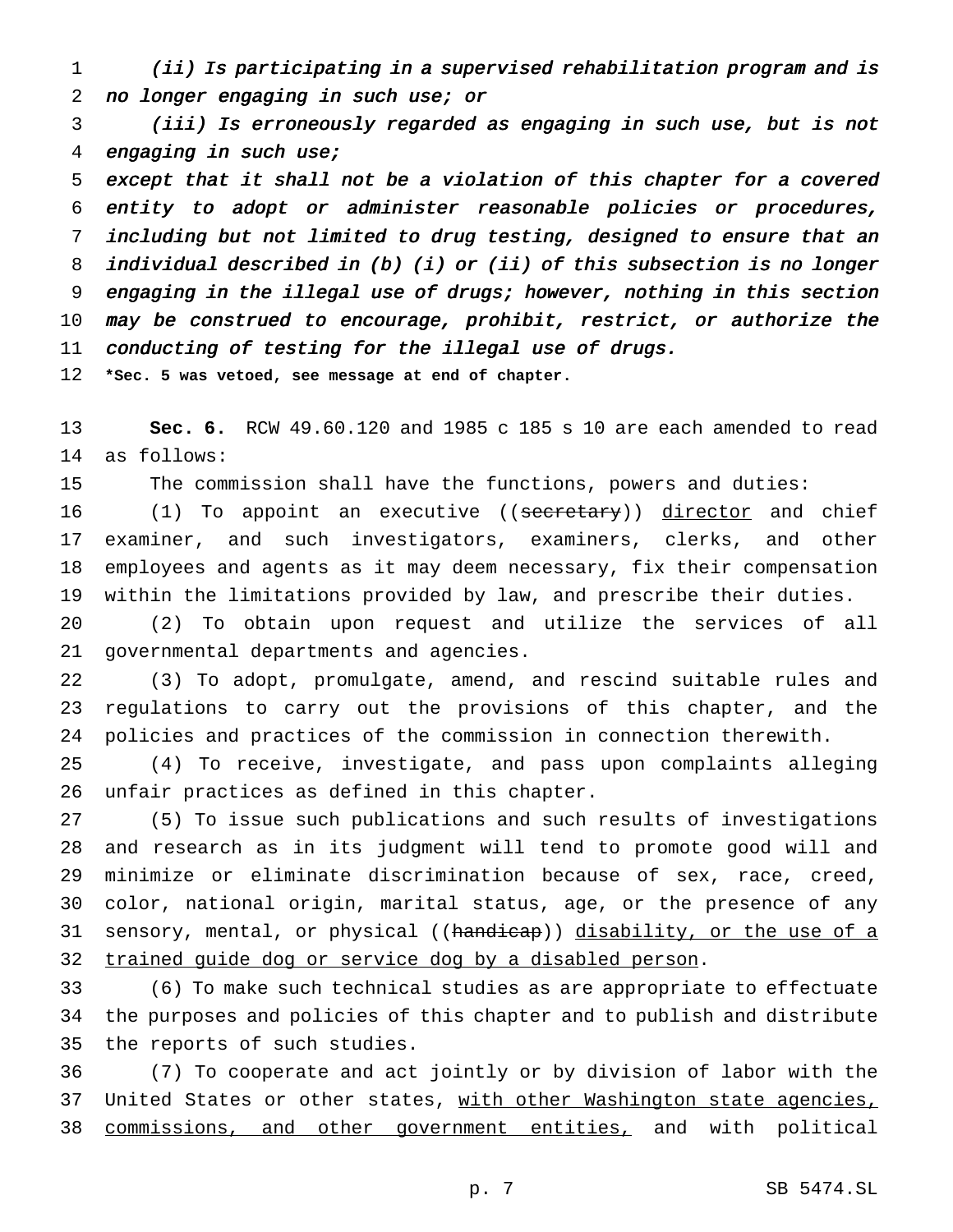(ii) Is participating in <sup>a</sup> supervised rehabilitation program and is 2 no longer engaging in such use; or

 (iii) Is erroneously regarded as engaging in such use, but is not engaging in such use;

 except that it shall not be <sup>a</sup> violation of this chapter for <sup>a</sup> covered entity to adopt or administer reasonable policies or procedures, including but not limited to drug testing, designed to ensure that an individual described in (b) (i) or (ii) of this subsection is no longer engaging in the illegal use of drugs; however, nothing in this section may be construed to encourage, prohibit, restrict, or authorize the conducting of testing for the illegal use of drugs.

**\*Sec. 5 was vetoed, see message at end of chapter.**

 **Sec. 6.** RCW 49.60.120 and 1985 c 185 s 10 are each amended to read as follows:

The commission shall have the functions, powers and duties:

16 (1) To appoint an executive ((secretary)) director and chief examiner, and such investigators, examiners, clerks, and other employees and agents as it may deem necessary, fix their compensation within the limitations provided by law, and prescribe their duties.

 (2) To obtain upon request and utilize the services of all governmental departments and agencies.

 (3) To adopt, promulgate, amend, and rescind suitable rules and regulations to carry out the provisions of this chapter, and the policies and practices of the commission in connection therewith.

 (4) To receive, investigate, and pass upon complaints alleging unfair practices as defined in this chapter.

 (5) To issue such publications and such results of investigations and research as in its judgment will tend to promote good will and minimize or eliminate discrimination because of sex, race, creed, color, national origin, marital status, age, or the presence of any 31 sensory, mental, or physical ((handicap)) disability, or the use of a trained guide dog or service dog by a disabled person.

 (6) To make such technical studies as are appropriate to effectuate the purposes and policies of this chapter and to publish and distribute the reports of such studies.

 (7) To cooperate and act jointly or by division of labor with the 37 United States or other states, with other Washington state agencies, 38 commissions, and other government entities, and with political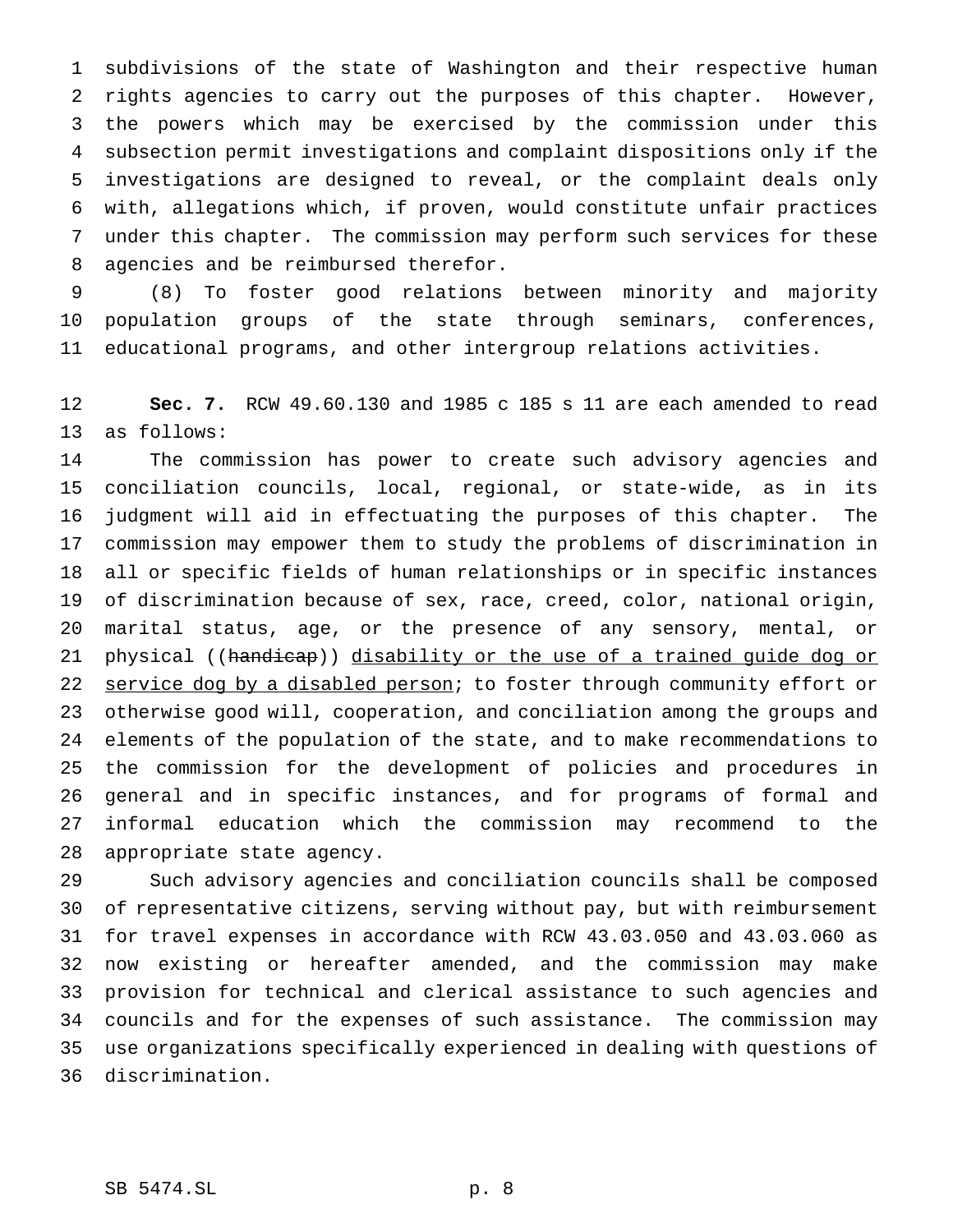subdivisions of the state of Washington and their respective human rights agencies to carry out the purposes of this chapter. However, the powers which may be exercised by the commission under this subsection permit investigations and complaint dispositions only if the investigations are designed to reveal, or the complaint deals only with, allegations which, if proven, would constitute unfair practices under this chapter. The commission may perform such services for these agencies and be reimbursed therefor.

 (8) To foster good relations between minority and majority population groups of the state through seminars, conferences, educational programs, and other intergroup relations activities.

 **Sec. 7.** RCW 49.60.130 and 1985 c 185 s 11 are each amended to read as follows:

 The commission has power to create such advisory agencies and conciliation councils, local, regional, or state-wide, as in its judgment will aid in effectuating the purposes of this chapter. The commission may empower them to study the problems of discrimination in all or specific fields of human relationships or in specific instances of discrimination because of sex, race, creed, color, national origin, marital status, age, or the presence of any sensory, mental, or 21 physical ((handicap)) disability or the use of a trained guide dog or 22 service dog by a disabled person; to foster through community effort or otherwise good will, cooperation, and conciliation among the groups and elements of the population of the state, and to make recommendations to the commission for the development of policies and procedures in general and in specific instances, and for programs of formal and informal education which the commission may recommend to the appropriate state agency.

 Such advisory agencies and conciliation councils shall be composed of representative citizens, serving without pay, but with reimbursement for travel expenses in accordance with RCW 43.03.050 and 43.03.060 as now existing or hereafter amended, and the commission may make provision for technical and clerical assistance to such agencies and councils and for the expenses of such assistance. The commission may use organizations specifically experienced in dealing with questions of discrimination.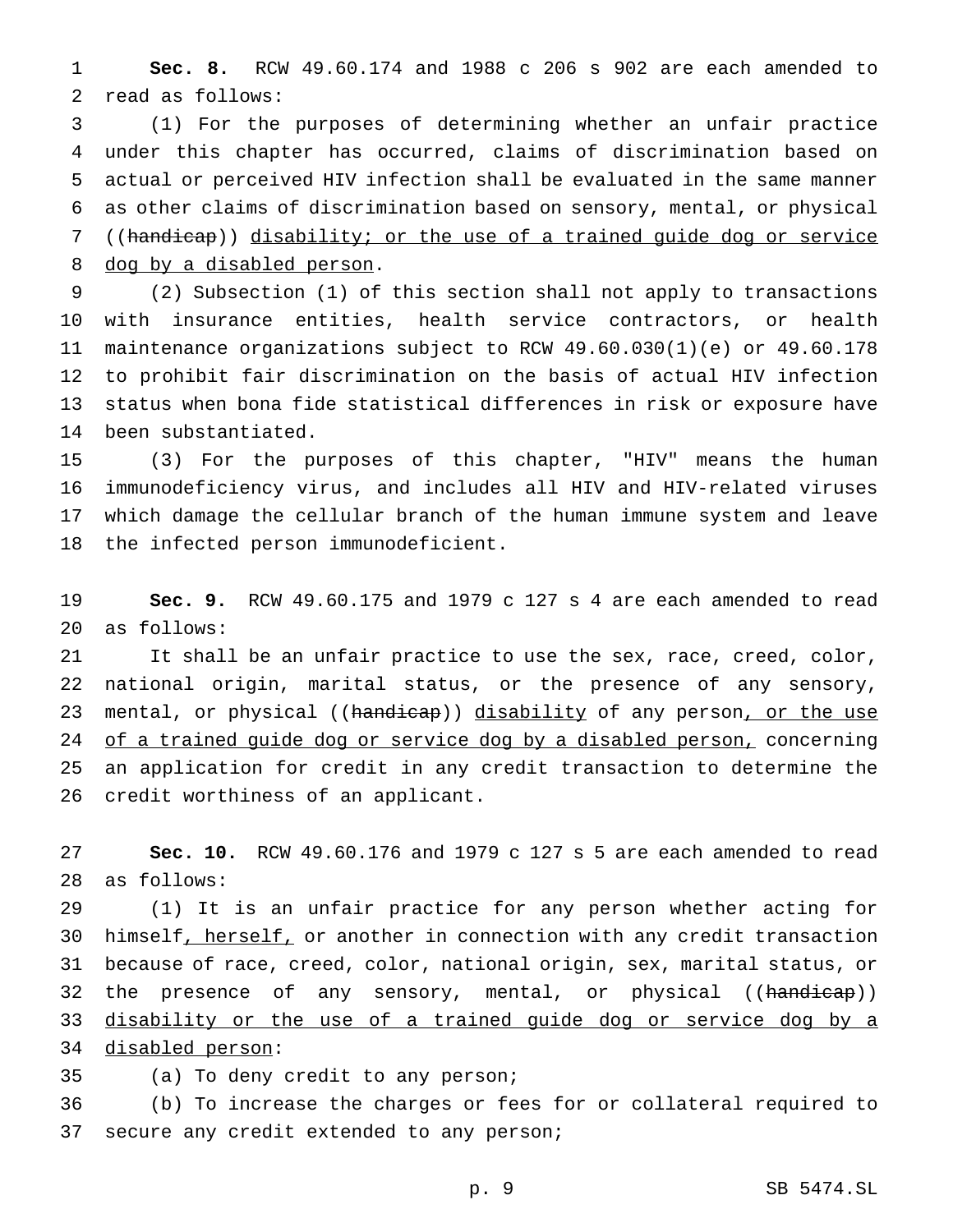**Sec. 8.** RCW 49.60.174 and 1988 c 206 s 902 are each amended to read as follows:

 (1) For the purposes of determining whether an unfair practice under this chapter has occurred, claims of discrimination based on actual or perceived HIV infection shall be evaluated in the same manner as other claims of discrimination based on sensory, mental, or physical ((handicap)) disability; or the use of a trained guide dog or service 8 dog by a disabled person.

 (2) Subsection (1) of this section shall not apply to transactions with insurance entities, health service contractors, or health maintenance organizations subject to RCW 49.60.030(1)(e) or 49.60.178 to prohibit fair discrimination on the basis of actual HIV infection status when bona fide statistical differences in risk or exposure have been substantiated.

 (3) For the purposes of this chapter, "HIV" means the human immunodeficiency virus, and includes all HIV and HIV-related viruses which damage the cellular branch of the human immune system and leave the infected person immunodeficient.

 **Sec. 9.** RCW 49.60.175 and 1979 c 127 s 4 are each amended to read as follows:

 It shall be an unfair practice to use the sex, race, creed, color, national origin, marital status, or the presence of any sensory, 23 mental, or physical ((handicap)) disability of any person, or the use 24 of a trained guide dog or service dog by a disabled person, concerning an application for credit in any credit transaction to determine the credit worthiness of an applicant.

 **Sec. 10.** RCW 49.60.176 and 1979 c 127 s 5 are each amended to read as follows:

 (1) It is an unfair practice for any person whether acting for 30 himself, herself, or another in connection with any credit transaction because of race, creed, color, national origin, sex, marital status, or 32 the presence of any sensory, mental, or physical ((handicap)) disability or the use of a trained guide dog or service dog by a

disabled person:

(a) To deny credit to any person;

 (b) To increase the charges or fees for or collateral required to 37 secure any credit extended to any person;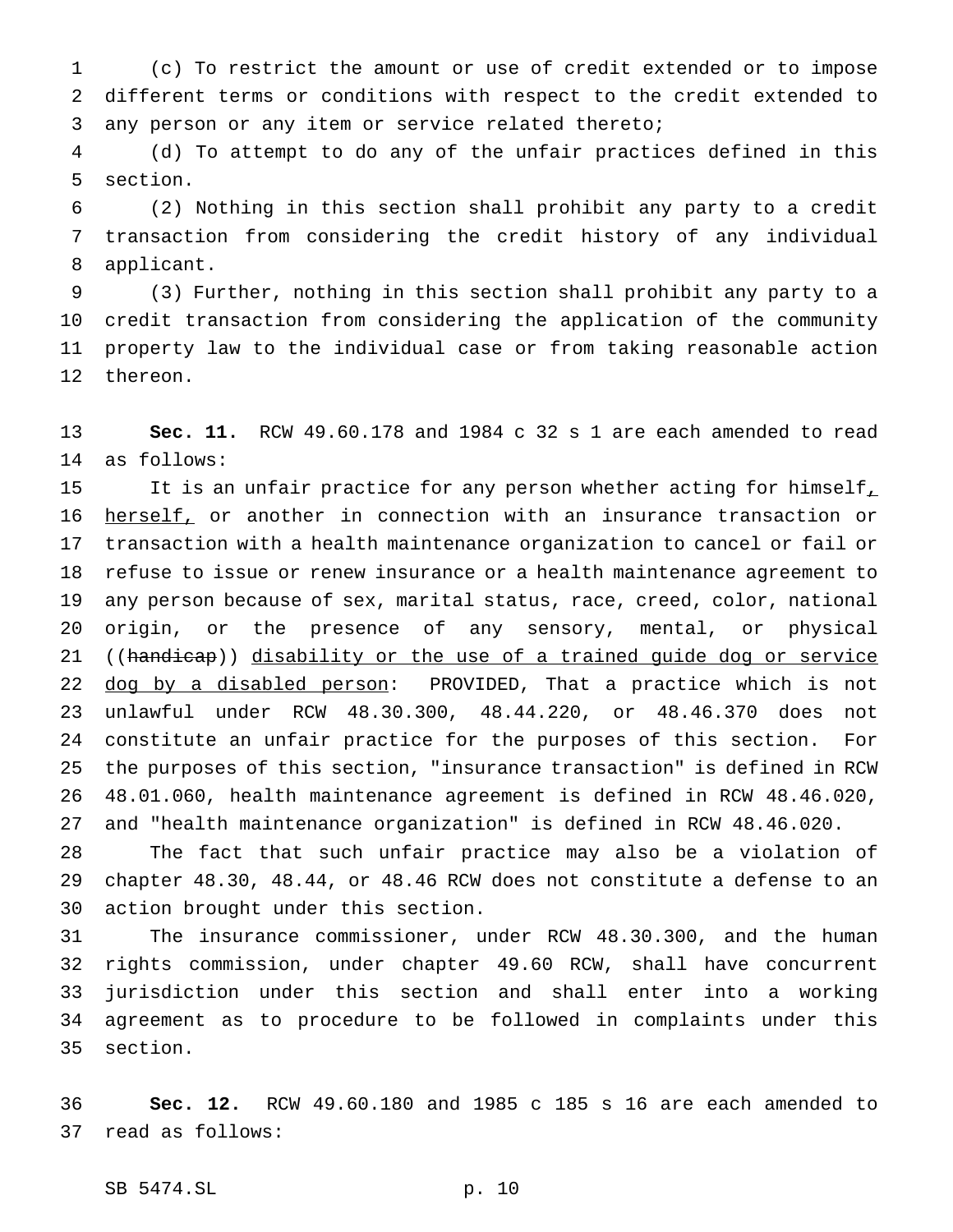(c) To restrict the amount or use of credit extended or to impose different terms or conditions with respect to the credit extended to any person or any item or service related thereto;

 (d) To attempt to do any of the unfair practices defined in this section.

 (2) Nothing in this section shall prohibit any party to a credit transaction from considering the credit history of any individual applicant.

 (3) Further, nothing in this section shall prohibit any party to a credit transaction from considering the application of the community property law to the individual case or from taking reasonable action thereon.

 **Sec. 11.** RCW 49.60.178 and 1984 c 32 s 1 are each amended to read as follows:

15 It is an unfair practice for any person whether acting for himself, 16 herself, or another in connection with an insurance transaction or transaction with a health maintenance organization to cancel or fail or refuse to issue or renew insurance or a health maintenance agreement to any person because of sex, marital status, race, creed, color, national origin, or the presence of any sensory, mental, or physical 21 ((handicap)) disability or the use of a trained guide dog or service 22 dog by a disabled person: PROVIDED, That a practice which is not unlawful under RCW 48.30.300, 48.44.220, or 48.46.370 does not constitute an unfair practice for the purposes of this section. For the purposes of this section, "insurance transaction" is defined in RCW 48.01.060, health maintenance agreement is defined in RCW 48.46.020, and "health maintenance organization" is defined in RCW 48.46.020.

 The fact that such unfair practice may also be a violation of chapter 48.30, 48.44, or 48.46 RCW does not constitute a defense to an action brought under this section.

 The insurance commissioner, under RCW 48.30.300, and the human rights commission, under chapter 49.60 RCW, shall have concurrent jurisdiction under this section and shall enter into a working agreement as to procedure to be followed in complaints under this section.

 **Sec. 12.** RCW 49.60.180 and 1985 c 185 s 16 are each amended to read as follows:

SB 5474.SL p. 10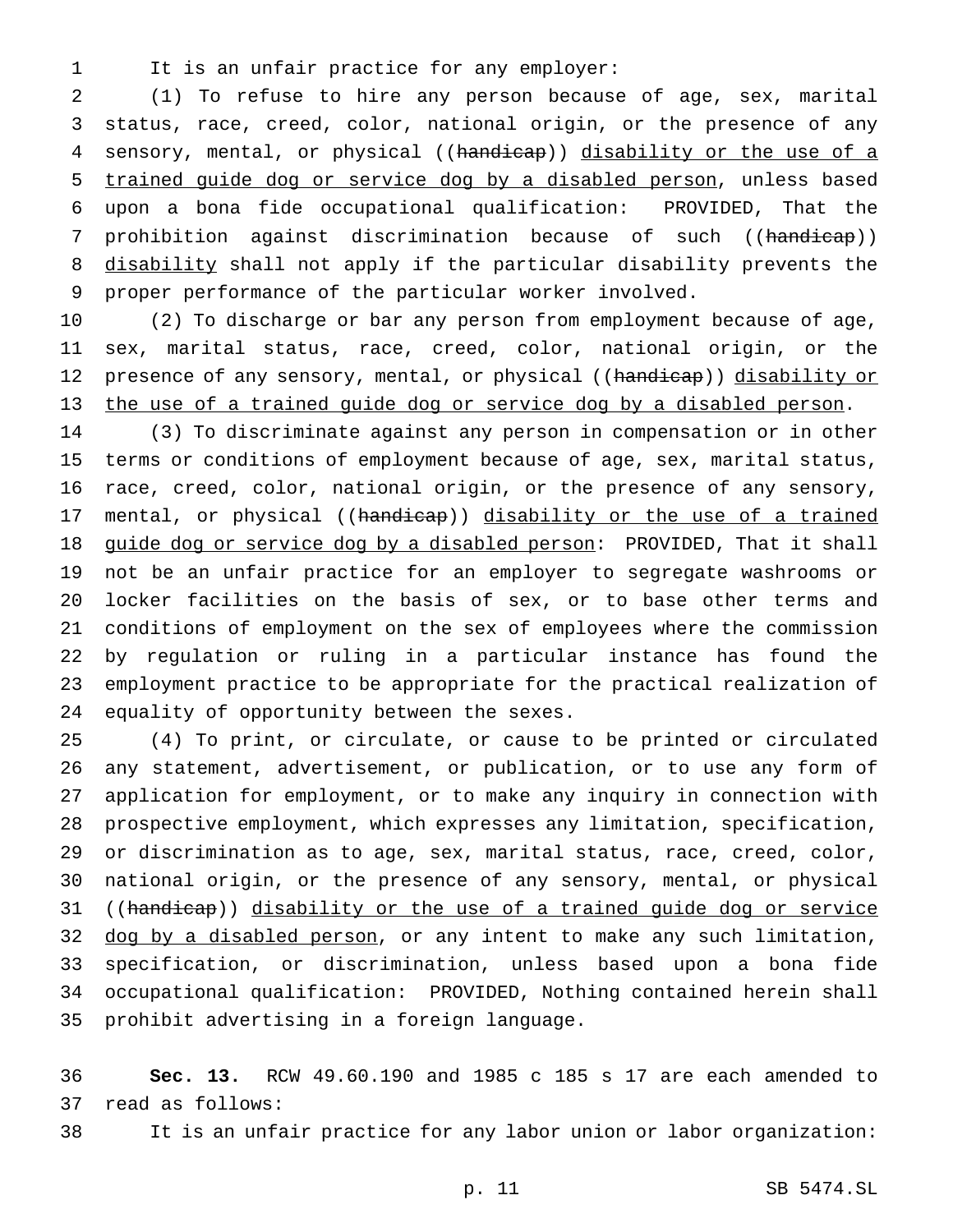- 
- 1 It is an unfair practice for any employer:

 (1) To refuse to hire any person because of age, sex, marital status, race, creed, color, national origin, or the presence of any 4 sensory, mental, or physical ((handicap)) disability or the use of a trained guide dog or service dog by a disabled person, unless based upon a bona fide occupational qualification: PROVIDED, That the 7 prohibition against discrimination because of such ((handicap)) 8 disability shall not apply if the particular disability prevents the proper performance of the particular worker involved.

 (2) To discharge or bar any person from employment because of age, sex, marital status, race, creed, color, national origin, or the 12 presence of any sensory, mental, or physical ((handicap)) disability or the use of a trained guide dog or service dog by a disabled person.

 (3) To discriminate against any person in compensation or in other terms or conditions of employment because of age, sex, marital status, race, creed, color, national origin, or the presence of any sensory, 17 mental, or physical ((handicap)) disability or the use of a trained 18 guide dog or service dog by a disabled person: PROVIDED, That it shall not be an unfair practice for an employer to segregate washrooms or locker facilities on the basis of sex, or to base other terms and conditions of employment on the sex of employees where the commission by regulation or ruling in a particular instance has found the employment practice to be appropriate for the practical realization of equality of opportunity between the sexes.

 (4) To print, or circulate, or cause to be printed or circulated any statement, advertisement, or publication, or to use any form of application for employment, or to make any inquiry in connection with prospective employment, which expresses any limitation, specification, or discrimination as to age, sex, marital status, race, creed, color, national origin, or the presence of any sensory, mental, or physical 31 ((handicap)) disability or the use of a trained guide dog or service 32 dog by a disabled person, or any intent to make any such limitation, specification, or discrimination, unless based upon a bona fide occupational qualification: PROVIDED, Nothing contained herein shall prohibit advertising in a foreign language.

 **Sec. 13.** RCW 49.60.190 and 1985 c 185 s 17 are each amended to read as follows:

It is an unfair practice for any labor union or labor organization: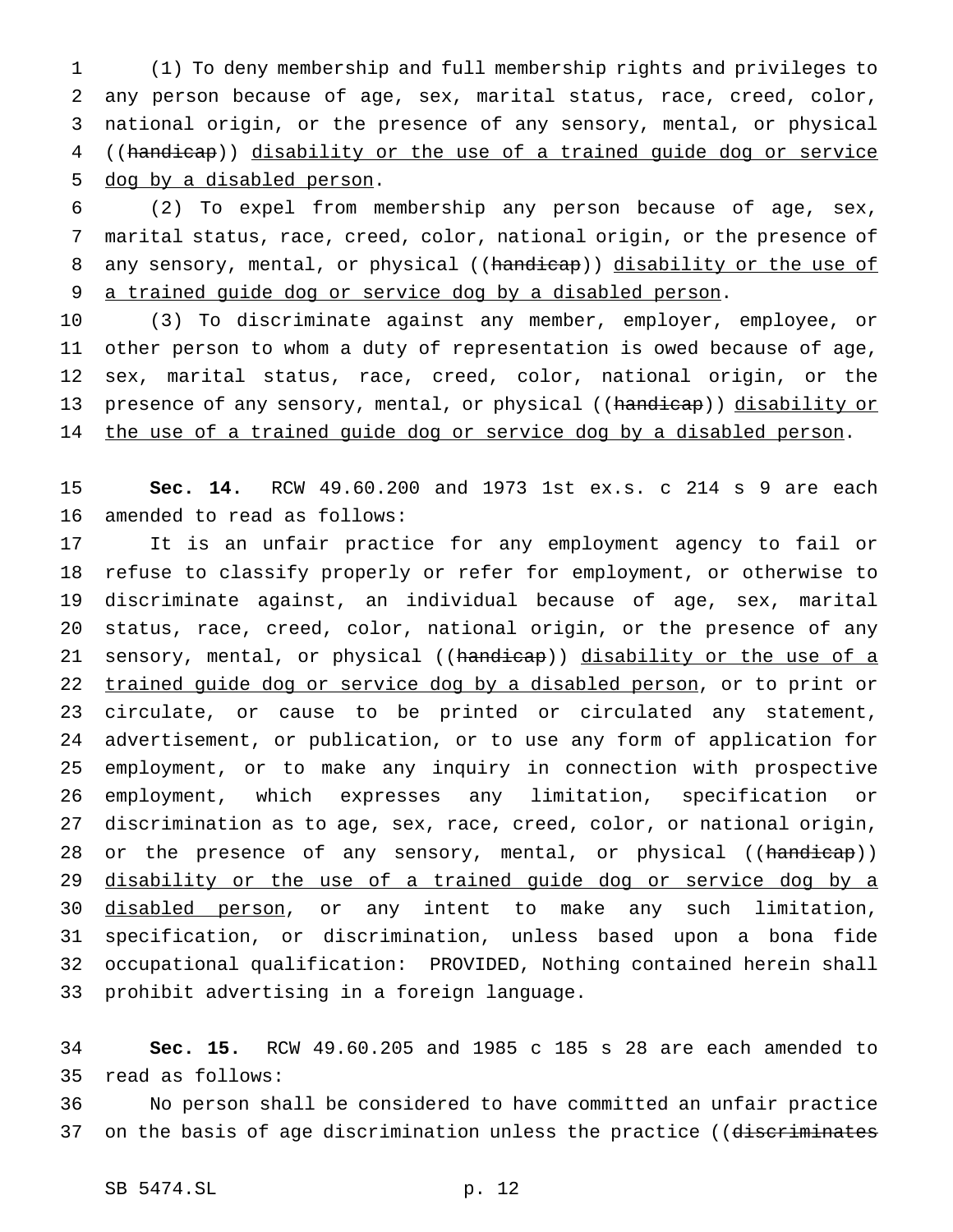(1) To deny membership and full membership rights and privileges to any person because of age, sex, marital status, race, creed, color, national origin, or the presence of any sensory, mental, or physical ((handicap)) disability or the use of a trained guide dog or service dog by a disabled person.

 (2) To expel from membership any person because of age, sex, marital status, race, creed, color, national origin, or the presence of 8 any sensory, mental, or physical ((handicap)) disability or the use of a trained guide dog or service dog by a disabled person.

 (3) To discriminate against any member, employer, employee, or other person to whom a duty of representation is owed because of age, sex, marital status, race, creed, color, national origin, or the 13 presence of any sensory, mental, or physical ((handicap)) disability or 14 the use of a trained guide dog or service dog by a disabled person.

 **Sec. 14.** RCW 49.60.200 and 1973 1st ex.s. c 214 s 9 are each amended to read as follows:

 It is an unfair practice for any employment agency to fail or refuse to classify properly or refer for employment, or otherwise to discriminate against, an individual because of age, sex, marital status, race, creed, color, national origin, or the presence of any 21 sensory, mental, or physical ((handicap)) disability or the use of a trained guide dog or service dog by a disabled person, or to print or circulate, or cause to be printed or circulated any statement, advertisement, or publication, or to use any form of application for employment, or to make any inquiry in connection with prospective employment, which expresses any limitation, specification or discrimination as to age, sex, race, creed, color, or national origin, 28 or the presence of any sensory, mental, or physical ((handicap)) 29 disability or the use of a trained guide dog or service dog by a 30 disabled person, or any intent to make any such limitation, specification, or discrimination, unless based upon a bona fide occupational qualification: PROVIDED, Nothing contained herein shall prohibit advertising in a foreign language.

 **Sec. 15.** RCW 49.60.205 and 1985 c 185 s 28 are each amended to read as follows:

 No person shall be considered to have committed an unfair practice 37 on the basis of age discrimination unless the practice ((discriminates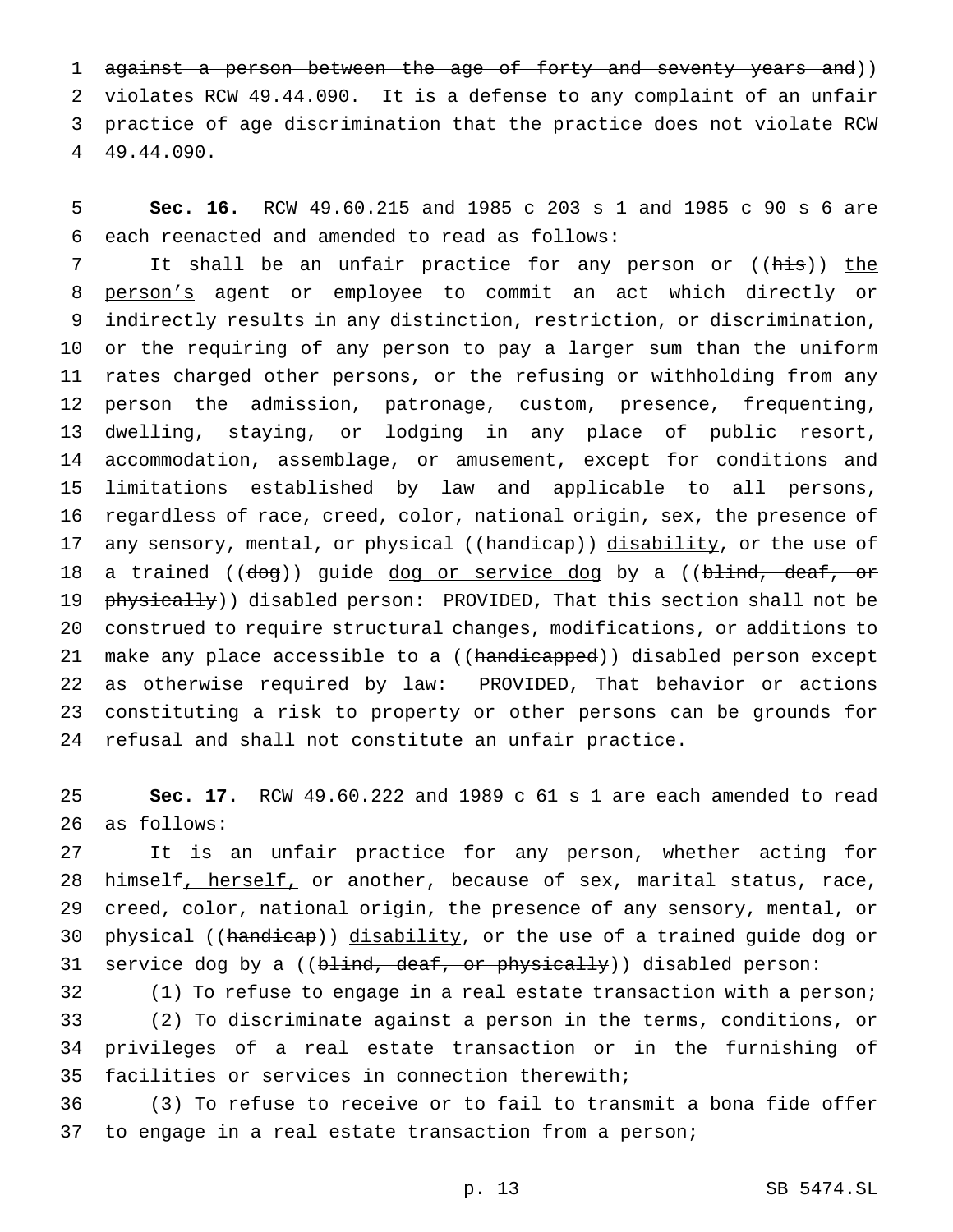1 against a person between the age of forty and seventy years and)) violates RCW 49.44.090. It is a defense to any complaint of an unfair practice of age discrimination that the practice does not violate RCW 49.44.090.

 **Sec. 16.** RCW 49.60.215 and 1985 c 203 s 1 and 1985 c 90 s 6 are each reenacted and amended to read as follows:

7 It shall be an unfair practice for any person or ((his)) the person's agent or employee to commit an act which directly or indirectly results in any distinction, restriction, or discrimination, or the requiring of any person to pay a larger sum than the uniform rates charged other persons, or the refusing or withholding from any person the admission, patronage, custom, presence, frequenting, dwelling, staying, or lodging in any place of public resort, accommodation, assemblage, or amusement, except for conditions and limitations established by law and applicable to all persons, regardless of race, creed, color, national origin, sex, the presence of 17 any sensory, mental, or physical ((handicap)) disability, or the use of 18 a trained ((dog)) guide dog or service dog by a ((blind, deaf, or 19 physically)) disabled person: PROVIDED, That this section shall not be construed to require structural changes, modifications, or additions to 21 make any place accessible to a ((handicapped)) disabled person except as otherwise required by law: PROVIDED, That behavior or actions constituting a risk to property or other persons can be grounds for refusal and shall not constitute an unfair practice.

 **Sec. 17.** RCW 49.60.222 and 1989 c 61 s 1 are each amended to read as follows:

 It is an unfair practice for any person, whether acting for 28 himself, herself, or another, because of sex, marital status, race, creed, color, national origin, the presence of any sensory, mental, or 30 physical ((handicap)) disability, or the use of a trained guide dog or 31 service dog by a (( $blimd$ , deaf, or physically)) disabled person:

 (1) To refuse to engage in a real estate transaction with a person; (2) To discriminate against a person in the terms, conditions, or privileges of a real estate transaction or in the furnishing of facilities or services in connection therewith;

 (3) To refuse to receive or to fail to transmit a bona fide offer 37 to engage in a real estate transaction from a person;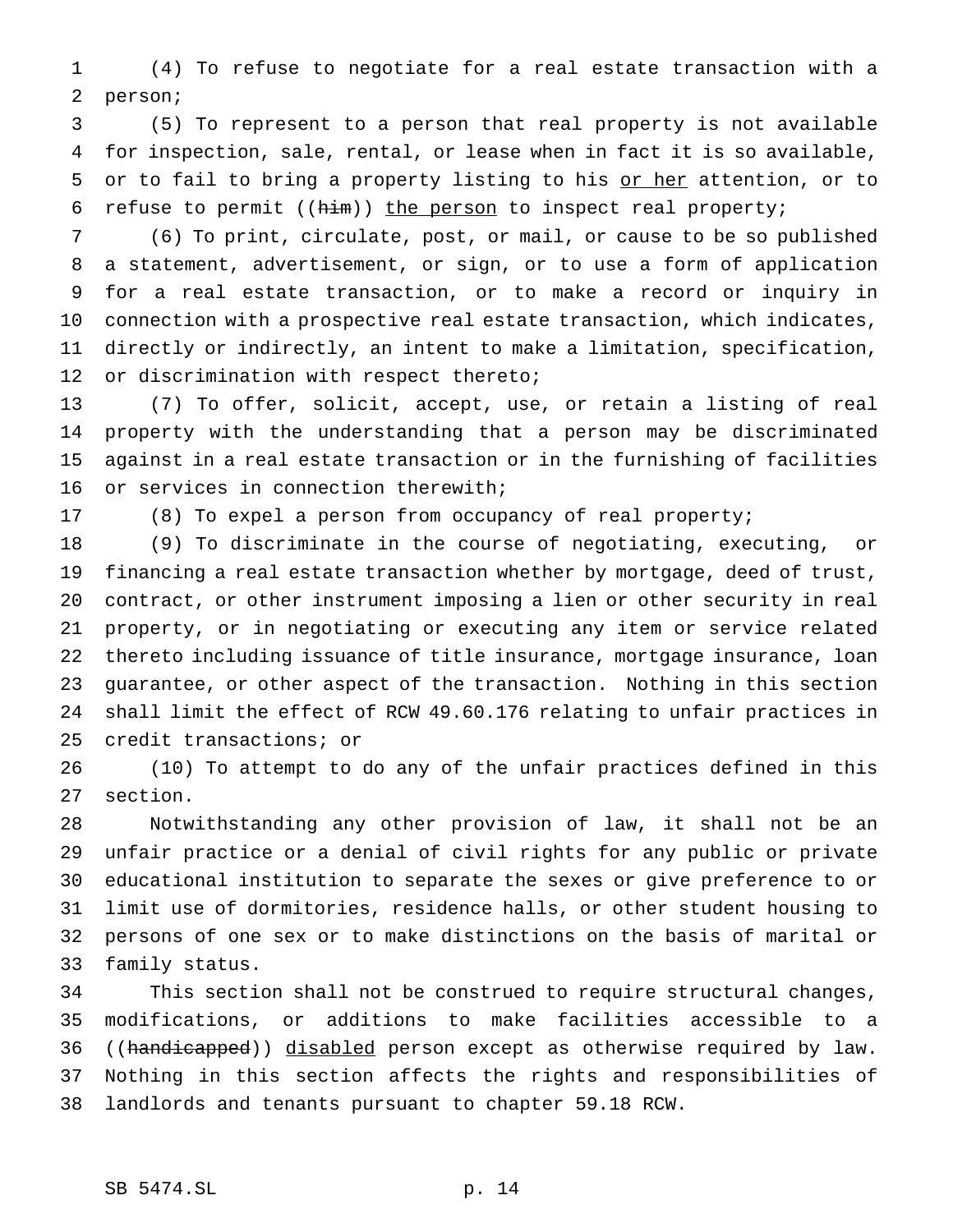(4) To refuse to negotiate for a real estate transaction with a person;

 (5) To represent to a person that real property is not available for inspection, sale, rental, or lease when in fact it is so available, 5 or to fail to bring a property listing to his or her attention, or to 6 refuse to permit  $((him))$  the person to inspect real property;

 (6) To print, circulate, post, or mail, or cause to be so published a statement, advertisement, or sign, or to use a form of application for a real estate transaction, or to make a record or inquiry in connection with a prospective real estate transaction, which indicates, directly or indirectly, an intent to make a limitation, specification, 12 or discrimination with respect thereto;

 (7) To offer, solicit, accept, use, or retain a listing of real property with the understanding that a person may be discriminated against in a real estate transaction or in the furnishing of facilities or services in connection therewith;

(8) To expel a person from occupancy of real property;

 (9) To discriminate in the course of negotiating, executing, or financing a real estate transaction whether by mortgage, deed of trust, contract, or other instrument imposing a lien or other security in real property, or in negotiating or executing any item or service related thereto including issuance of title insurance, mortgage insurance, loan guarantee, or other aspect of the transaction. Nothing in this section shall limit the effect of RCW 49.60.176 relating to unfair practices in credit transactions; or

 (10) To attempt to do any of the unfair practices defined in this section.

 Notwithstanding any other provision of law, it shall not be an unfair practice or a denial of civil rights for any public or private educational institution to separate the sexes or give preference to or limit use of dormitories, residence halls, or other student housing to persons of one sex or to make distinctions on the basis of marital or family status.

 This section shall not be construed to require structural changes, modifications, or additions to make facilities accessible to a 36 ((handicapped)) disabled person except as otherwise required by law. Nothing in this section affects the rights and responsibilities of landlords and tenants pursuant to chapter 59.18 RCW.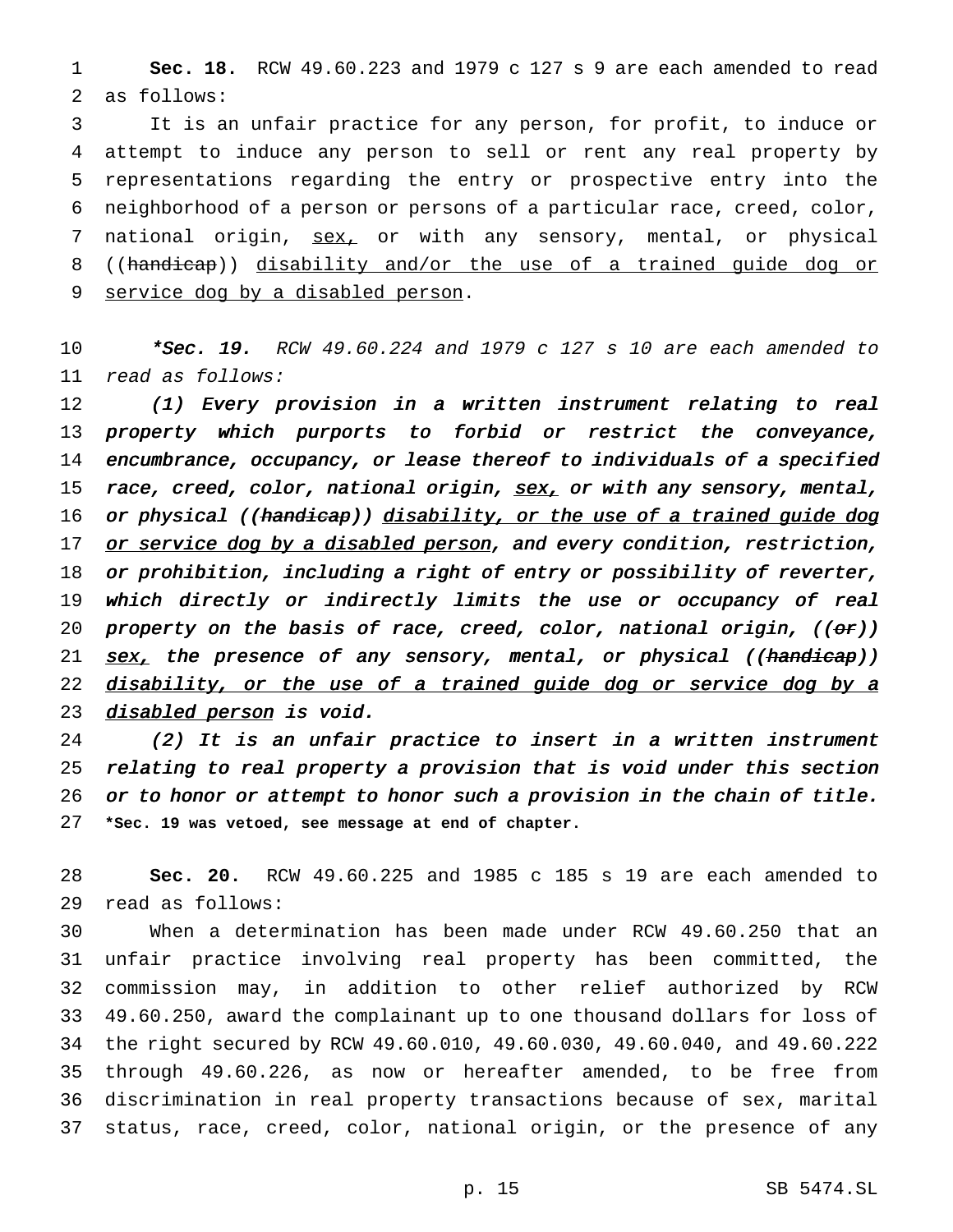**Sec. 18.** RCW 49.60.223 and 1979 c 127 s 9 are each amended to read as follows:

 It is an unfair practice for any person, for profit, to induce or attempt to induce any person to sell or rent any real property by representations regarding the entry or prospective entry into the neighborhood of a person or persons of a particular race, creed, color, 7 national origin, sex, or with any sensory, mental, or physical ((handicap)) disability and/or the use of a trained guide dog or service dog by a disabled person.

**\*Sec. 19.** RCW 49.60.224 and 1979 c 127 s 10 are each amended to read as follows:

 (1) Every provision in <sup>a</sup> written instrument relating to real property which purports to forbid or restrict the conveyance, encumbrance, occupancy, or lease thereof to individuals of <sup>a</sup> specified 15 race, creed, color, national origin,  $sex$ , or with any sensory, mental, 16 or physical ((handicap)) disability, or the use of a trained guide dog 17 or service dog by a disabled person, and every condition, restriction, or prohibition, including <sup>a</sup> right of entry or possibility of reverter, which directly or indirectly limits the use or occupancy of real 20 property on the basis of race, creed, color, national origin,  $((\theta r))$ 21 <u>sex,</u> the presence of any sensory, mental, or physical ((handicap)) 22 disability, or the use of a trained guide dog or service dog by a 23 disabled person is void.

 (2) It is an unfair practice to insert in <sup>a</sup> written instrument relating to real property <sup>a</sup> provision that is void under this section or to honor or attempt to honor such <sup>a</sup> provision in the chain of title. **\*Sec. 19 was vetoed, see message at end of chapter.**

 **Sec. 20.** RCW 49.60.225 and 1985 c 185 s 19 are each amended to read as follows:

 When a determination has been made under RCW 49.60.250 that an unfair practice involving real property has been committed, the commission may, in addition to other relief authorized by RCW 49.60.250, award the complainant up to one thousand dollars for loss of the right secured by RCW 49.60.010, 49.60.030, 49.60.040, and 49.60.222 through 49.60.226, as now or hereafter amended, to be free from discrimination in real property transactions because of sex, marital status, race, creed, color, national origin, or the presence of any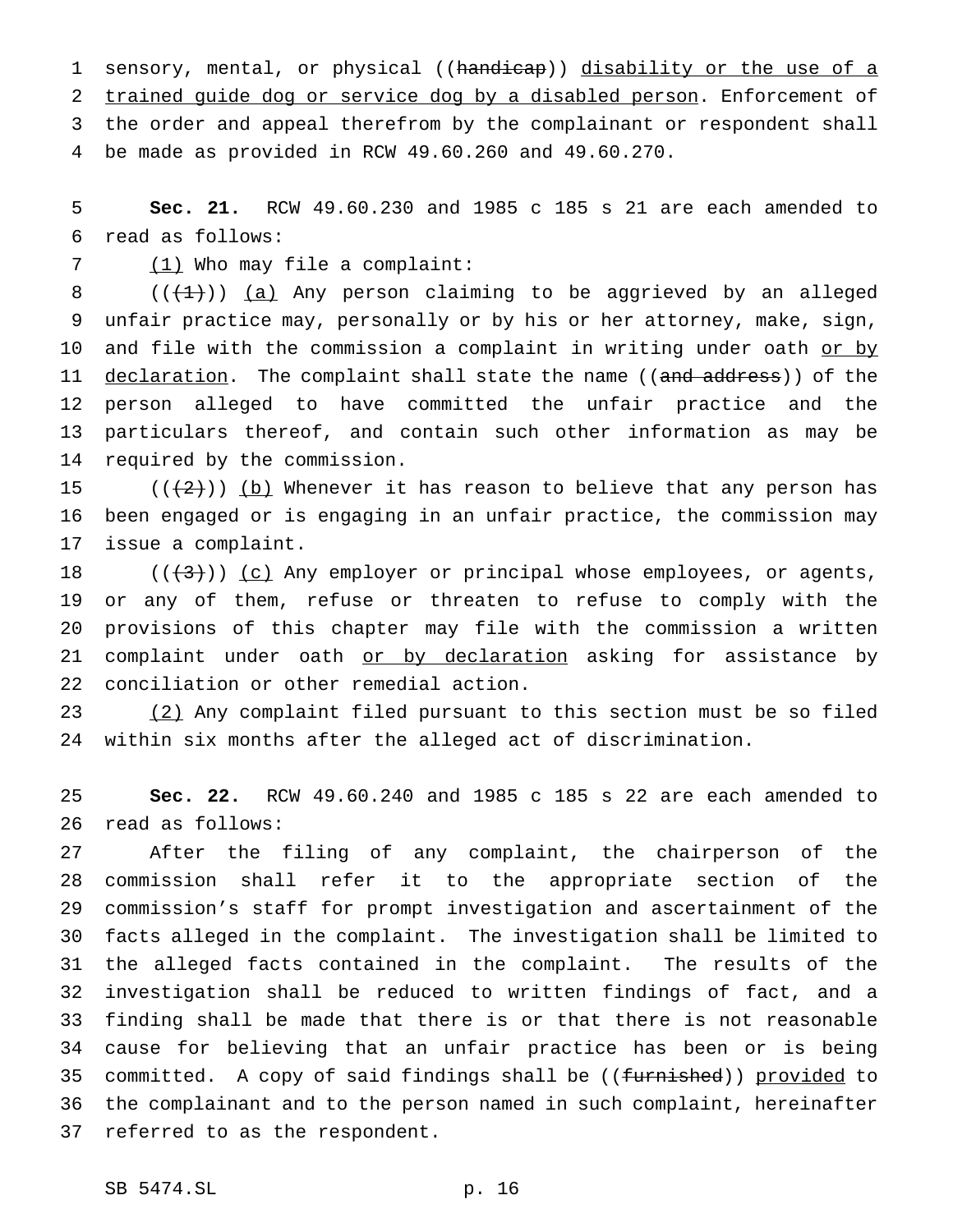1 sensory, mental, or physical ((handicap)) disability or the use of a trained guide dog or service dog by a disabled person. Enforcement of the order and appeal therefrom by the complainant or respondent shall be made as provided in RCW 49.60.260 and 49.60.270.

 **Sec. 21.** RCW 49.60.230 and 1985 c 185 s 21 are each amended to read as follows:

7 (1) Who may file a complaint:

 $((+1))$  (a) Any person claiming to be aggrieved by an alleged unfair practice may, personally or by his or her attorney, make, sign, 10 and file with the commission a complaint in writing under oath or by 11 declaration. The complaint shall state the name ((and address)) of the person alleged to have committed the unfair practice and the particulars thereof, and contain such other information as may be required by the commission.

15 ( $(\frac{2}{2})$ ) (b) Whenever it has reason to believe that any person has been engaged or is engaging in an unfair practice, the commission may issue a complaint.

 $((+3))$   $(c)$  Any employer or principal whose employees, or agents, or any of them, refuse or threaten to refuse to comply with the provisions of this chapter may file with the commission a written 21 complaint under oath or by declaration asking for assistance by conciliation or other remedial action.

 (2) Any complaint filed pursuant to this section must be so filed within six months after the alleged act of discrimination.

 **Sec. 22.** RCW 49.60.240 and 1985 c 185 s 22 are each amended to read as follows:

 After the filing of any complaint, the chairperson of the commission shall refer it to the appropriate section of the commission's staff for prompt investigation and ascertainment of the facts alleged in the complaint. The investigation shall be limited to the alleged facts contained in the complaint. The results of the investigation shall be reduced to written findings of fact, and a finding shall be made that there is or that there is not reasonable cause for believing that an unfair practice has been or is being 35 committed. A copy of said findings shall be ((furnished)) provided to the complainant and to the person named in such complaint, hereinafter referred to as the respondent.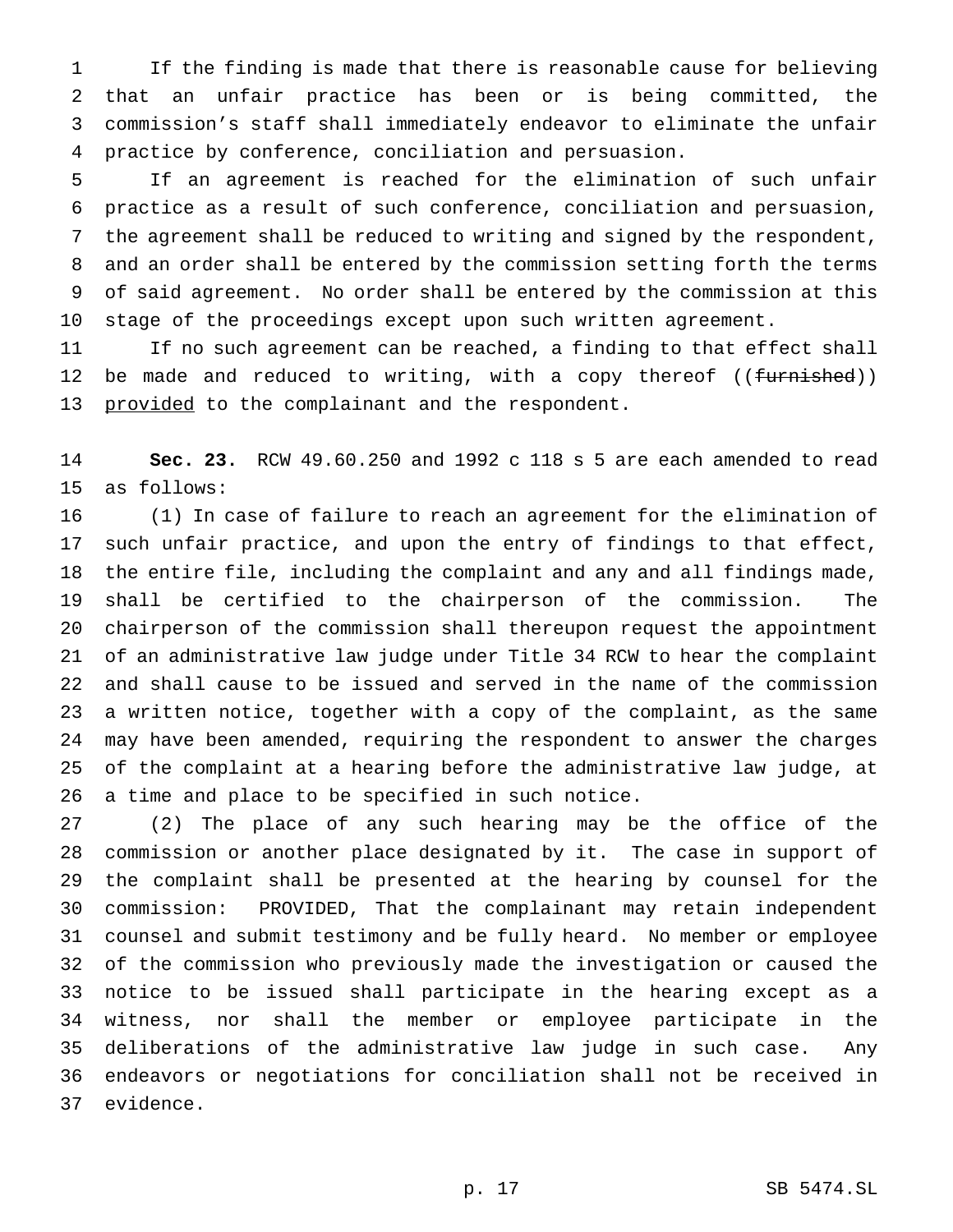If the finding is made that there is reasonable cause for believing that an unfair practice has been or is being committed, the commission's staff shall immediately endeavor to eliminate the unfair practice by conference, conciliation and persuasion.

 If an agreement is reached for the elimination of such unfair practice as a result of such conference, conciliation and persuasion, the agreement shall be reduced to writing and signed by the respondent, and an order shall be entered by the commission setting forth the terms of said agreement. No order shall be entered by the commission at this stage of the proceedings except upon such written agreement.

 If no such agreement can be reached, a finding to that effect shall 12 be made and reduced to writing, with a copy thereof ((furnished)) 13 provided to the complainant and the respondent.

 **Sec. 23.** RCW 49.60.250 and 1992 c 118 s 5 are each amended to read as follows:

 (1) In case of failure to reach an agreement for the elimination of such unfair practice, and upon the entry of findings to that effect, the entire file, including the complaint and any and all findings made, shall be certified to the chairperson of the commission. The chairperson of the commission shall thereupon request the appointment of an administrative law judge under Title 34 RCW to hear the complaint and shall cause to be issued and served in the name of the commission a written notice, together with a copy of the complaint, as the same may have been amended, requiring the respondent to answer the charges of the complaint at a hearing before the administrative law judge, at a time and place to be specified in such notice.

 (2) The place of any such hearing may be the office of the commission or another place designated by it. The case in support of the complaint shall be presented at the hearing by counsel for the commission: PROVIDED, That the complainant may retain independent counsel and submit testimony and be fully heard. No member or employee of the commission who previously made the investigation or caused the notice to be issued shall participate in the hearing except as a witness, nor shall the member or employee participate in the deliberations of the administrative law judge in such case. Any endeavors or negotiations for conciliation shall not be received in evidence.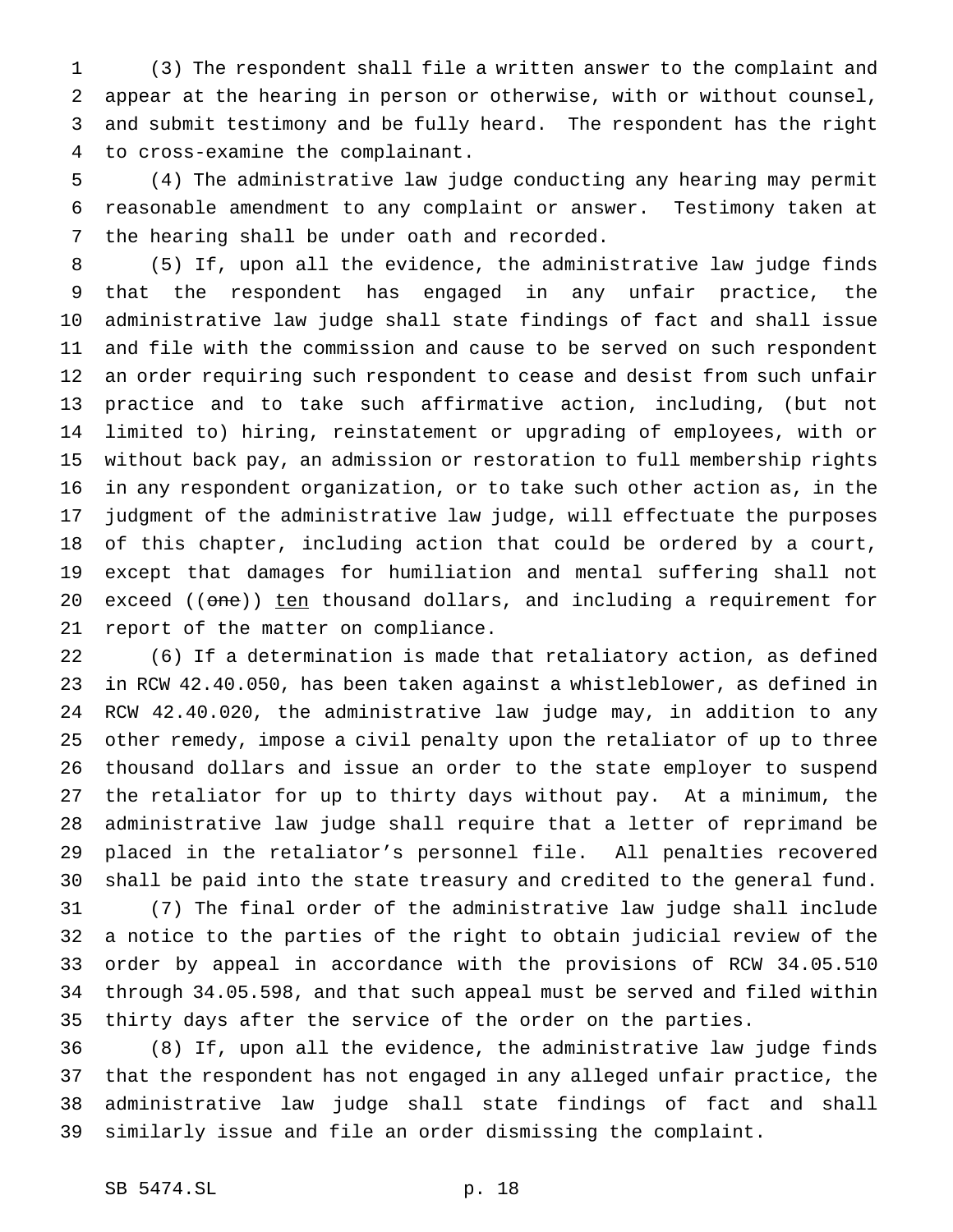(3) The respondent shall file a written answer to the complaint and appear at the hearing in person or otherwise, with or without counsel, and submit testimony and be fully heard. The respondent has the right to cross-examine the complainant.

 (4) The administrative law judge conducting any hearing may permit reasonable amendment to any complaint or answer. Testimony taken at the hearing shall be under oath and recorded.

 (5) If, upon all the evidence, the administrative law judge finds that the respondent has engaged in any unfair practice, the administrative law judge shall state findings of fact and shall issue and file with the commission and cause to be served on such respondent an order requiring such respondent to cease and desist from such unfair practice and to take such affirmative action, including, (but not limited to) hiring, reinstatement or upgrading of employees, with or without back pay, an admission or restoration to full membership rights in any respondent organization, or to take such other action as, in the judgment of the administrative law judge, will effectuate the purposes of this chapter, including action that could be ordered by a court, except that damages for humiliation and mental suffering shall not 20 exceed ((one)) ten thousand dollars, and including a requirement for report of the matter on compliance.

 (6) If a determination is made that retaliatory action, as defined in RCW 42.40.050, has been taken against a whistleblower, as defined in RCW 42.40.020, the administrative law judge may, in addition to any other remedy, impose a civil penalty upon the retaliator of up to three thousand dollars and issue an order to the state employer to suspend the retaliator for up to thirty days without pay. At a minimum, the administrative law judge shall require that a letter of reprimand be placed in the retaliator's personnel file. All penalties recovered shall be paid into the state treasury and credited to the general fund.

 (7) The final order of the administrative law judge shall include a notice to the parties of the right to obtain judicial review of the order by appeal in accordance with the provisions of RCW 34.05.510 through 34.05.598, and that such appeal must be served and filed within thirty days after the service of the order on the parties.

 (8) If, upon all the evidence, the administrative law judge finds that the respondent has not engaged in any alleged unfair practice, the administrative law judge shall state findings of fact and shall similarly issue and file an order dismissing the complaint.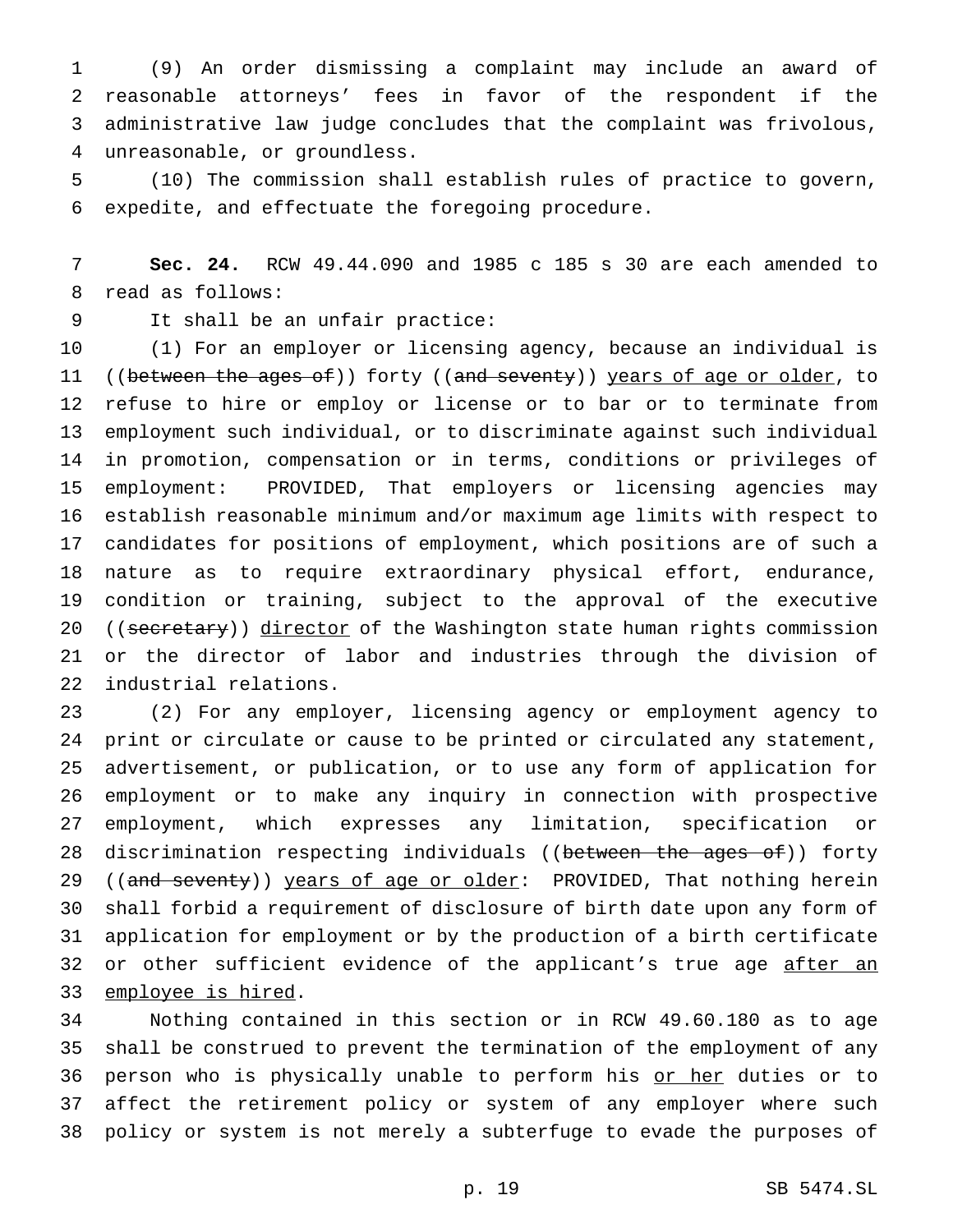(9) An order dismissing a complaint may include an award of reasonable attorneys' fees in favor of the respondent if the administrative law judge concludes that the complaint was frivolous, unreasonable, or groundless.

 (10) The commission shall establish rules of practice to govern, expedite, and effectuate the foregoing procedure.

 **Sec. 24.** RCW 49.44.090 and 1985 c 185 s 30 are each amended to read as follows:

It shall be an unfair practice:

 (1) For an employer or licensing agency, because an individual is 11 ((between the ages of)) forty ((and seventy)) years of age or older, to refuse to hire or employ or license or to bar or to terminate from employment such individual, or to discriminate against such individual in promotion, compensation or in terms, conditions or privileges of employment: PROVIDED, That employers or licensing agencies may establish reasonable minimum and/or maximum age limits with respect to candidates for positions of employment, which positions are of such a nature as to require extraordinary physical effort, endurance, condition or training, subject to the approval of the executive 20 ((secretary)) director of the Washington state human rights commission or the director of labor and industries through the division of industrial relations.

 (2) For any employer, licensing agency or employment agency to print or circulate or cause to be printed or circulated any statement, advertisement, or publication, or to use any form of application for employment or to make any inquiry in connection with prospective employment, which expresses any limitation, specification or 28 discrimination respecting individuals ((between the ages of)) forty 29 ((and seventy)) years of age or older: PROVIDED, That nothing herein shall forbid a requirement of disclosure of birth date upon any form of application for employment or by the production of a birth certificate 32 or other sufficient evidence of the applicant's true age after an 33 employee is hired.

 Nothing contained in this section or in RCW 49.60.180 as to age shall be construed to prevent the termination of the employment of any 36 person who is physically unable to perform his or her duties or to affect the retirement policy or system of any employer where such policy or system is not merely a subterfuge to evade the purposes of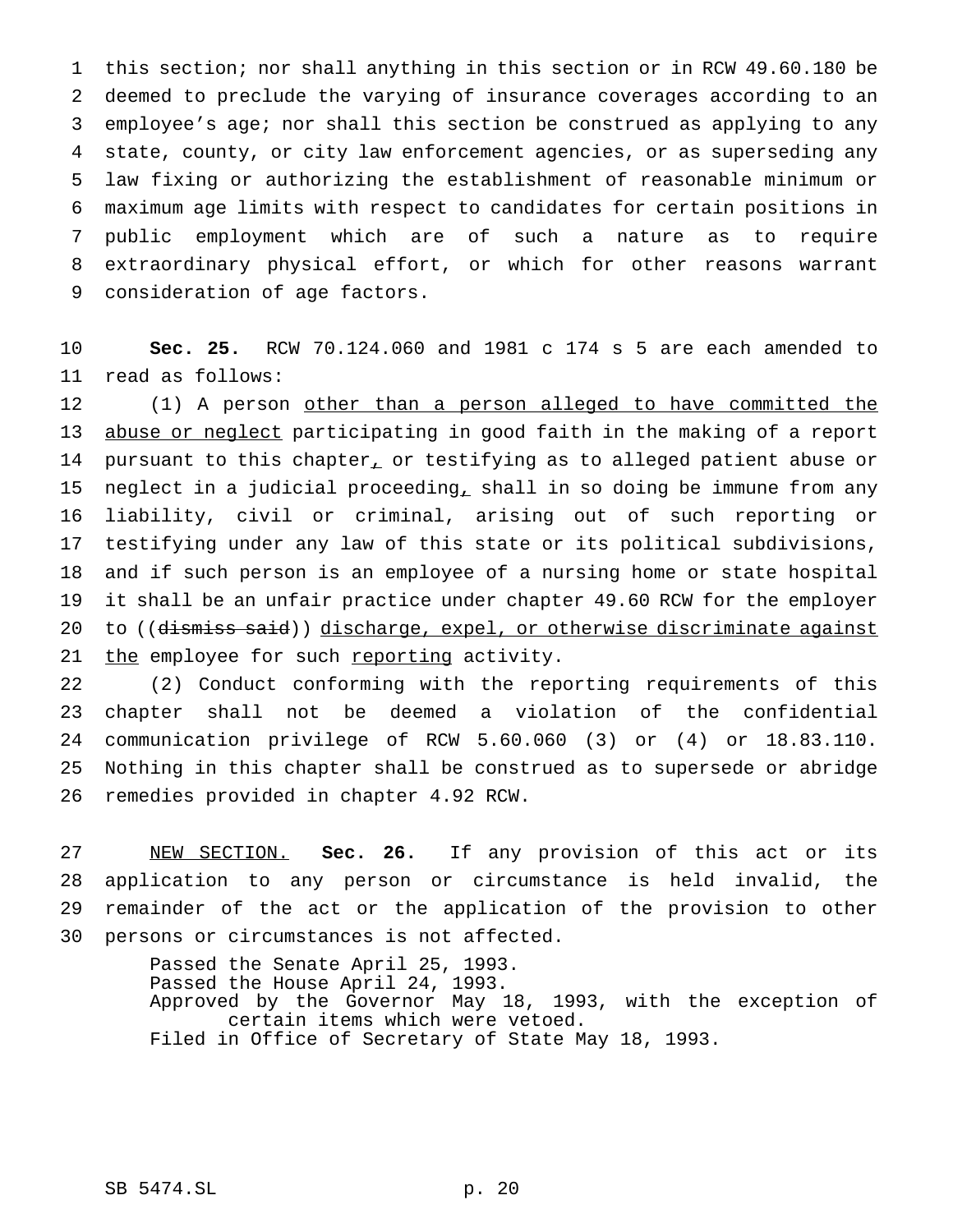this section; nor shall anything in this section or in RCW 49.60.180 be deemed to preclude the varying of insurance coverages according to an employee's age; nor shall this section be construed as applying to any state, county, or city law enforcement agencies, or as superseding any law fixing or authorizing the establishment of reasonable minimum or maximum age limits with respect to candidates for certain positions in public employment which are of such a nature as to require extraordinary physical effort, or which for other reasons warrant consideration of age factors.

 **Sec. 25.** RCW 70.124.060 and 1981 c 174 s 5 are each amended to read as follows:

 (1) A person other than a person alleged to have committed the 13 abuse or neglect participating in good faith in the making of a report 14 pursuant to this chapter<sub>1</sub> or testifying as to alleged patient abuse or neglect in a judicial proceeding, shall in so doing be immune from any liability, civil or criminal, arising out of such reporting or testifying under any law of this state or its political subdivisions, and if such person is an employee of a nursing home or state hospital it shall be an unfair practice under chapter 49.60 RCW for the employer 20 to ((dismiss said)) discharge, expel, or otherwise discriminate against 21 the employee for such reporting activity.

 (2) Conduct conforming with the reporting requirements of this chapter shall not be deemed a violation of the confidential communication privilege of RCW 5.60.060 (3) or (4) or 18.83.110. Nothing in this chapter shall be construed as to supersede or abridge remedies provided in chapter 4.92 RCW.

 NEW SECTION. **Sec. 26.** If any provision of this act or its application to any person or circumstance is held invalid, the remainder of the act or the application of the provision to other persons or circumstances is not affected.

> Passed the Senate April 25, 1993. Passed the House April 24, 1993. Approved by the Governor May 18, 1993, with the exception of certain items which were vetoed. Filed in Office of Secretary of State May 18, 1993.